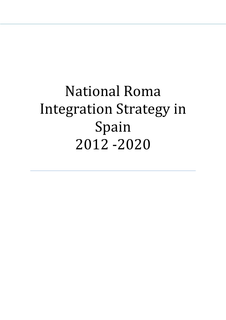# National Roma Integration Strategy in Spain 2012 -2020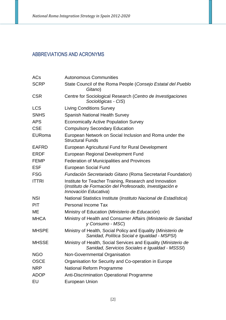# ABBREVIATIONS AND ACRONYMS

| <b>ACs</b>    | <b>Autonomous Communities</b>                                                                                                                |
|---------------|----------------------------------------------------------------------------------------------------------------------------------------------|
| <b>SCRP</b>   | State Council of the Roma People (Consejo Estatal del Pueblo<br>Gitano)                                                                      |
| <b>CSR</b>    | Centre for Sociological Research (Centro de Investigaciones<br>Sociológicas - CIS)                                                           |
| <b>LCS</b>    | <b>Living Conditions Survey</b>                                                                                                              |
| <b>SNHS</b>   | <b>Spanish National Health Survey</b>                                                                                                        |
| <b>APS</b>    | <b>Economically Active Population Survey</b>                                                                                                 |
| <b>CSE</b>    | <b>Compulsory Secondary Education</b>                                                                                                        |
| <b>EURoma</b> | European Network on Social Inclusion and Roma under the<br><b>Structural Funds</b>                                                           |
| <b>EAFRD</b>  | European Agricultural Fund for Rural Development                                                                                             |
| <b>ERDF</b>   | European Regional Development Fund                                                                                                           |
| <b>FEMP</b>   | <b>Federation of Municipalities and Provinces</b>                                                                                            |
| <b>ESF</b>    | <b>European Social Fund</b>                                                                                                                  |
| <b>FSG</b>    | Fundación Secretariado Gitano (Roma Secretariat Foundation)                                                                                  |
| <b>ITTRI</b>  | Institute for Teacher Training, Research and Innovation<br>(Instituto de Formación del Profesorado, Investigación e<br>Innovación Educativa) |
| <b>NSI</b>    | National Statistics Institute (Instituto Nacional de Estadística)                                                                            |
| <b>PIT</b>    | <b>Personal Income Tax</b>                                                                                                                   |
| ME            | Ministry of Education (Ministerio de Educación)                                                                                              |
| <b>MHCA</b>   | Ministry of Health and Consumer Affairs (Ministerio de Sanidad<br>y Consumo - MSC)                                                           |
| <b>MHSPE</b>  | Ministry of Health, Social Policy and Equality (Ministerio de<br>Sanidad, Política Social e Igualdad - MSPSI)                                |
| <b>MHSSE</b>  | Ministry of Health, Social Services and Equality (Ministerio de<br>Sanidad, Servicios Sociales e Igualdad - MSSSI)                           |
| <b>NGO</b>    | Non-Governmental Organisation                                                                                                                |
| <b>OSCE</b>   | Organisation for Security and Co-operation in Europe                                                                                         |
| <b>NRP</b>    | <b>National Reform Programme</b>                                                                                                             |
| <b>ADOP</b>   | Anti-Discrimination Operational Programme                                                                                                    |
| EU            | European Union                                                                                                                               |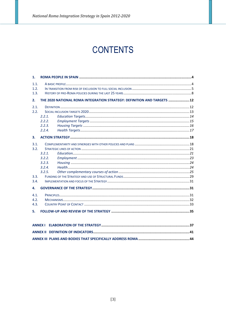# **CONTENTS**

| $\mathbf{1}$ .               |                                                                         |                 |
|------------------------------|-------------------------------------------------------------------------|-----------------|
| 1.1.<br>1.2.<br>1.3.         |                                                                         |                 |
| 2.                           | THE 2020 NATIONAL ROMA INTEGRATION STRATEGY: DEFINITION AND TARGETS  12 |                 |
| 2.1.<br>2.2.                 | 2.2.1.<br>2.2.2.<br>2.2.3.<br>2.2.4.                                    |                 |
| 3.                           |                                                                         |                 |
| 3.1.<br>3.2.<br>3.3.<br>3.4. | 3.2.1<br>3.2.2.<br>3.2.3.<br>3.2.4.<br>3.2.5.                           |                 |
| 4.                           |                                                                         |                 |
| 4.1.<br>4.2.<br>4.3.<br>5.   |                                                                         |                 |
| <b>ANNEX I</b>               |                                                                         |                 |
|                              | ANNEY IL DEEINITION OF INDICATORS                                       | $\overline{A1}$ |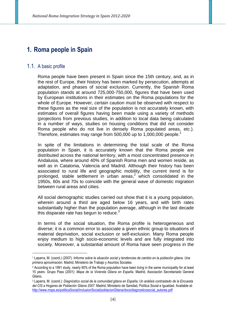# **1. Roma people in Spain**

#### 1.1. A basic profile

 $\overline{a}$ 

Roma people have been present in Spain since the 15th century, and, as in the rest of Europe, their history has been marked by persecution, attempts at adaptation, and phases of social exclusion. Currently, the Spanish Roma population stands at around 725,000-750,000, figures that have been used by European institutions in their estimates on the Roma populations for the whole of Europe. However, certain caution must be observed with respect to these figures as the real size of the population is not accurately known, with estimates of overall figures having been made using a variety of methods (projections from previous studies, in addition to local data being calculated in a number of ways, studies on housing conditions that did not consider Roma people who do not live in densely Roma populated areas, etc.). Therefore, estimates may range from 500,000 up to 1,000,000 people.<sup>1</sup>

In spite of the limitations in determining the total scale of the Roma population in Spain, it is accurately known that the Roma people are distributed across the national territory, with a most concentrated presence in Andalusia, where around 40% of Spanish Roma men and women reside, as well as in Catalonia, Valencia and Madrid. Although their history has been associated to rural life and geographic mobility, the current trend is for prolonged, stable settlement in urban areas,<sup>2</sup> which consolidated in the 1950s, 60s and 70s to coincide with the general wave of domestic migration between rural areas and cities.

All social demographic studies carried out show that it is a young population, wherein around a third are aged below 16 years, and with birth rates substantially higher than the population average, although in the last decade this disparate rate has begun to reduce. $3$ 

In terms of the social situation, the Roma profile is heterogeneous and diverse; it is a common error to associate a given ethnic group to situations of material deprivation, social exclusion or self-exclusion. Many Roma people enjoy medium to high socio-economic levels and are fully integrated into society. Moreover, a substantial amount of Roma have seen progress in the

<sup>1</sup> Laparra, M. (coord.) (2007): *Informe sobre la situación social y tendencias de cambio en la población gitana. Una primera aproximación.* Madrid, Ministerio de Trabajo y Asuntos Sociales.

<sup>2</sup> According to a 1991 study, nearly 90% of the Roma population have been living in the same municipality for at least 15 years. Grupo Pass (2001): *Mapa de la Vivienda Gitana en España*. Madrid, Asociación Secretariado General Gitano.

<sup>3</sup> Laparra, M. (coord.): *Diagnóstico social de la comunidad gitana en España; Un análisis contrastado de la Encuesta del CIS a Hogares de Población Gitana 2007.* Madrid, Ministerio de Sanidad, Política Social e Igualdad. Available at: http://www.msps.es/politicaSocial/inclusionSocial/poblacionGitana/docs/diagnosticosocial\_autores.pdf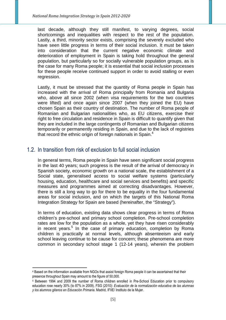last decade, although they still manifest, to varying degrees, social shortcomings and inequalities with respect to the rest of the population. Lastly, a third, minority sector exists, comprising the severely excluded who have seen little progress in terms of their social inclusion. It must be taken into consideration that the current negative economic climate and deterioration of employment in Spain is taking hold throughout the general population, but particularly so for socially vulnerable population groups, as is the case for many Roma people; it is essential that social inclusion processes for these people receive continued support in order to avoid stalling or even regression.

Lastly, it must be stressed that the quantity of Roma people in Spain has increased with the arrival of Roma principally from Romania and Bulgaria who, above all since 2002 (when visa requirements for the two countries were lifted) and once again since 2007 (when they joined the EU) have chosen Spain as their country of destination. The number of Roma people of Romanian and Bulgarian nationalities who, as EU citizens, exercise their right to free circulation and residence in Spain is difficult to quantify given that they are included in the large contingents of Romanian and Bulgarian citizens temporarily or permanently residing in Spain, and due to the lack of registries that record the ethnic origin of foreign nationals in Spain.<sup>4</sup>

## 1.2. In transition from risk of exclusion to full social inclusion

In general terms, Roma people in Spain have seen significant social progress in the last 40 years; such progress is the result of the arrival of democracy in Spanish society, economic growth on a national scale, the establishment of a Social state, generalised access to social welfare systems (particularly housing, education, healthcare and social services and benefits) and specific measures and programmes aimed at correcting disadvantages. However, there is still a long way to go for there to be equality in the four fundamental areas for social inclusion, and on which the targets of this National Roma Integration Strategy for Spain are based (hereinafter, the "Strategy").

In terms of education, existing data shows clear progress in terms of Roma children's pre-school and primary school completion. Pre-school completion rates are low for the population as a whole, yet they have risen considerably in recent years.<sup>5</sup> In the case of primary education, completion by Roma children is practically at normal levels, although absenteeism and early school leaving continue to be cause for concern; these phenomena are more common in secondary school stage 1 (12-14 years), wherein the problem

 $\overline{a}$ 

<sup>4</sup> Based on the information available from NGOs that assist foreign Roma people it can be ascertained that their presence throughout Spain may amount to the figure of 50,000.

<sup>5</sup> Between 1994 and 2009 the number of Roma children enrolled in Pre-School Education prior to compulsory education rose nearly 30% (to 87% in 2009). FSG (2010): *Evaluación de la normalización educativa de las alumnas y los alumnos gitanos en Educación Primaria*. Madrid, IFIIE/ Instituto de la Mujer.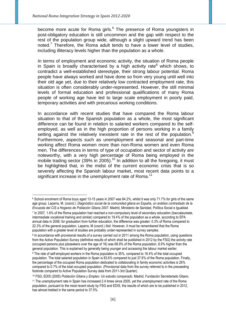become more acute for Roma girls.<sup>6</sup> The presence of Roma youngsters in post-obligatory education is still uncommon and the gap with respect to the rest of the population group wide, although a slight upward trend has been noted.<sup>7</sup> Therefore, the Roma adult tends to have a lower level of studies, including illiteracy levels higher than the population as a whole.

In terms of employment and economic activity, the situation of Roma people in Spain is broadly characterised by a high activity rate<sup>8</sup> which shows, to contradict a well-established stereotype, their strong labour potential. Roma people have always worked and have done so from very young until well into their old age yet, due to their relatively low contracted employment rate, this situation is often considerably under-represented. However, the still minimal levels of formal education and professional qualifications of many Roma people of working age have led to large scale employment in poorly paid, temporary activities and with precarious working conditions.

In accordance with recent studies that have compared the Roma labour situation to that of the Spanish population as a whole, the most significant difference can be found in relation to salaried workers compared to the selfemployed, as well as in the high proportion of persons working in a family setting against the relatively inexistent rate in the rest of the population.<sup>9</sup> Furthermore, aspects such as unemployment and seasonal and part-time working affect Roma women more than non-Roma women and even Roma men. The differences in terms of type of occupation and sector of activity are noteworthy, with a very high percentage of Roma being employed in the mobile trading sector (39% in 2005).<sup>10</sup> In addition to all the foregoing, it must be highlighted that, in the midst of the current economic crisis that is so severely affecting the Spanish labour market, most recent data points to a significant increase in the unemployment rate of Roma.<sup>11</sup>

 $\overline{a}$ 

 $^6$  School enrolment of Roma boys aged 13-15 years in 2007 was 84.2%, whilst it was only 71.7% for girls of the same age group. Laparra, M. (coord.): *Diagnóstico social de la comunidad gitana en España, un análisis contrastado de la Encuesta del CIS a Hogares de Población Gitana 2007.* Madrid, Ministerio de Sanidad, Política Social e Igualdad. 7 In 2007, 1.6% of the Roma population had reached a non-compulsory level of secondary education (baccalaureate, intermediate vocational training and similar) compared to 19.4% of the population as a whole, according to EPA annual data in 2006; for graduation from further education, the difference was greater; 0.3% of Roma compared to 22.3% of the general population. Laparra, M (coord.) *Ibid.* However, it must be remembered that the Roma population with a greater level of studies are probably under-represented in survey samples.

<sup>&</sup>lt;sup>8</sup> In accordance with provisional results of a survey carried out in 2011 among the Roma population, using questions from the Active Population Survey (definitive results of which shall be published in 2012 by the FSG) the activity rate (occupied persons plus jobseekers over the age of 16) was 68.9% of the Roma population, 8.9% higher than the general population. This is explained by generally being younger and accessing the labour market earlier.

<sup>9</sup> The rate of self-employed workers in the Roma population is 35%, compared to 16.4% of the total occupied population. The total salaried population in Spain is 83.6% compared to just 37.6% of the Roma population. Finally, the percentage of the occupied Roma population dedicated to collaborating in family economic activities is 26% compared to 0.7% of the total occupied population. (Provisional data from the survey referred to in the preceeding footnote compared to Active Population Survey data from 2011-3rd Quarter).

<sup>10</sup> FSG; EDIS (2005) *Población Gitana y Empleo: Un estudio comparado.* Madrid, Fundación Secretariado Gitano*.*

<sup>&</sup>lt;sup>11</sup> The unemployment rate in Spain has increased 2.4 times since 2005, yet the unemployment rate of the Roma population, pursuant to the most recent study by FSG and EDIS, the results of which are to be published in 2012, has almost trebled in the same period to 37.5%.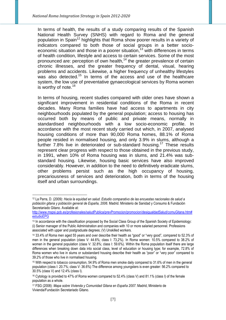In terms of health, the results of a study comparing results of the Spanish National Health Survey (SNHS) with regard to Roma and the general population in Spain<sup>12</sup> highlights that Roma show poorer results in a variety of indicators compared to both those of social groups in a better socioeconomic situation and those in a poorer situation,<sup>13</sup> with differences in terms of health condition, lifestyle and access to certain services. Some of the most pronounced are: perception of own health, $14$  the greater prevalence of certain chronic illnesses, and the greater frequency of dental, visual, hearing problems and accidents. Likewise, a higher frequency of unhealthy lifestyles was also detected.<sup>15</sup> In terms of the access and use of the healthcare system, the low use of preventative gynaecological services by Roma women is worthy of note.<sup>16</sup>

In terms of housing, recent studies compared with older ones have shown a significant improvement in residential conditions of the Roma in recent decades. Many Roma families have had access to apartments in city neighbourhoods populated by the general population; access to housing has occurred both by means of public and private means, normally in standardised neighbourhoods with a low socio-economic profile. In accordance with the most recent study carried out which, in 2007, analysed housing conditions of more than 90,000 Roma homes, 88.1% of Roma people resided in normalised housing, and only 3.9% in slums, although a further  $7.8\%$  live in deteriorated or sub-standard housing.<sup>17</sup> These results represent clear progress with respect to those obtained in the previous study, in 1991, when 10% of Roma housing was in slums, and 21.4% was substandard housing. Likewise, housing basic services have also improved considerably. However, in addition to the need to definitively eradicate slums, other problems persist such as the high occupancy of housing, precariousness of services and deterioration, both in terms of the housing itself and urban surroundings.

 $\overline{a}$ <sup>12</sup> La Parra, D. (2009): *Hacia la equidad en salud. Estudio comparativo de las encuestas nacionales de salud a población gitana y población general de España, 2006.* Madrid. Ministerio de Sanidad y Consumo & Fundación Secretariado Gitano. Available at:

http://www.mspsi.gob.es/profesionales/saludPublica/prevPromocion/promocion/desigualdadSalud/comuGitana.htm# estudioEPG

<sup>13</sup> In accordance with the classification proposed by the Social Class Group of the Spanish Society of Epidemiology: (i) Senior manager of the Public Administration and companies with 10 or more salaried personnel. Professions associated with upper and postgraduate degrees; (V) Unskilled workers.

<sup>14</sup> 33.4% of Roma men aged 55 years and over describe their health as "good" or "very good", compared to 52.3% of men in the general population (class V: 44.6%; class I: 73,2%). In Roma women: 10.5% compared to 38.2% of women in the general population (class V: 32.8%; class I: 59.6%). Within the Roma population itself there are large differences when breaking down data into social class, level of education or housing type; for example, 72.8% of Roma women who live in slums or substandard housing describe their health as "poor" or "very poor" compared to 39.2% of those who live in normalised housing.

<sup>15</sup> With respect to tobacco consumption, 54.9% of Roma men smoke daily compared to 31.6% of men in the general population (class I: 20.7%; class V: 36.6%) The difference among youngsters is even greater: 56.2% compared to 30.5% (class V) and 12.4% (class I).

<sup>16</sup> Cytology is provided to 47% of Roma women compared to 52.4% (class V) and 81.1% (class I) of the female population as a whole.

<sup>17</sup> FSG (2008): *Mapa sobre Vivienda y Comunidad Gitana en España 2007*. Madrid, Ministerio de Vivienda/Fundación Secretariado Gitano.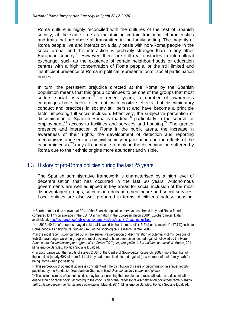Roma culture is highly reconciled with the cultures of the rest of Spanish society, at the same time as maintaining certain traditional characteristics and traits that are above all transmitted in the family setting. The majority of Roma people live and interact on a daily basis with non-Roma people in the social arena, and this interaction is probably stronger than in any other European country.<sup>18</sup> However, there are still real obstacles to intercultural exchange, such as the existence of certain neighbourhoods or education centres with a high concentration of Roma people, or the still limited and insufficient presence of Roma in political representation or social participation bodies.

In turn, the persistent prejudice directed at the Roma by the Spanish population means that this group continues to be one of the groups that most suffers social ostracism.<sup>19</sup> In recent years, a number of awareness campaigns have been rolled out, with positive effects, but discriminatory conduct and practices in society still persist and have become a principle factor impeding full social inclusion. Effectively, the subjective perception of discrimination of Spanish Roma is marked,<sup>20</sup> particularly in the search for employment.<sup>21</sup> access to facilities and services and housing.<sup>22</sup> The greater presence and interaction of Roma in the public arena, the increase in awareness of their rights, the development of detection and reporting mechanisms and services by civil society organisation and the effects of the economic crisis, $^{23}$  may all contribute to making the discrimination suffered by Roma due to their ethnic origins more abundant and visible.

## 1.3. History of pro-Roma policies during the last 25 years

 $\overline{a}$ 

The Spanish administrative framework is characterised by a high level of decentralisation that has occurred in the last 30 years. Autonomous governments are well equipped in key areas for social inclusion of the most disadvantaged groups, such as in education, healthcare and social services. Local entities are also well prepared in terms of citizens' safety, housing,

<sup>&</sup>lt;sup>18</sup> Eurobarometer data shows that 39% of the Spanish population surveyed confirmed they had Roma friends, compared to 17% on average in the EU. "Discrimination in the European Union 2009", Eurobarometer. Data available at: http://ec.europa.eu/public\_opinion/archives/ebs/ebs\_317\_fact\_es\_es1.pdf

<sup>19</sup> In 2005, 40.2% of people surveyed said that it would bother them "a lot" (15.5%) or "somewhat" (27.7%) to have Roma people as neighbours. Survey 2,620 of the Sociological Research Centre. 2005.

<sup>20</sup> In the most recent study carried out on the subjective perception of discrimination of potential victims, persons of Sub-Saharan origin were the group who most declared to have been discriminated against, followed by the Roma. *Panel sobre discriminación por orígen racial o étnico (2010): la percepción de las víctimas potenciales.* Madrid, 2011. Ministerio de Sanidad, Política Social e Igualdad.

<sup>&</sup>lt;sup>21</sup> In accordance with the results of survey 2,664 of the Centre of Sociological Research (2007), more than half of those asked (nearly 60% of men) felt that they had been discriminated against (or a member of their family had) for being Roma when job seeking.

<sup>&</sup>lt;sup>22</sup> This perception of potential victims is consistent with the distribution of cases of discrimination in annual reports published by the Fundación Secretariado Gitano, entitled *Discriminación y comunidad gitana*.

<sup>&</sup>lt;sup>23</sup> The current climate of economic crisis may be exacerbating the prevalence of racist attitudes and discrimination due to ethnic or racial origin, according to the conclusion of the *Panel sobre discriminación por origen racial o étnico (2010): la percepción de las víctimas potenciales.* Madrid, 2011. Ministerio de Sanidad, Política Social e Igualdad.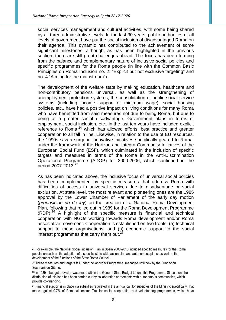social services management and cultural activities, with some being shared by all three administrative levels. In the last 30 years, public authorities of all levels of government have put the social inclusion of disadvantaged Roma on their agenda. This dynamic has contributed to the achievement of some significant milestones, although, as has been highlighted in the previous section, there are still great challenges ahead. The focus has been forming from the balance and complementary nature of inclusive social policies and specific programmes for the Roma people (in line with the Common Basic Principles on Roma Inclusion no. 2: "Explicit but not exclusive targeting" and no. 4 "Aiming for the mainstream").

The development of the welfare state by making education, healthcare and non-contributory pensions universal, as well as the strengthening of unemployment protection systems, the consolidation of public social service systems (including income support or minimum wage), social housing policies, etc., have had a positive impact on living conditions for many Roma who have benefitted from said measures not due to being Roma, but due to being at a greater social disadvantage. Government plans in terms of employment, social inclusion, etc., in the last ten years have included explicit reference to Roma, $24$  which has allowed efforts, best practice and greater cooperation to all fall in line. Likewise, in relation to the use of EU resources, the 1990s saw a surge in innovative initiatives specifically geared to Roma, under the framework of the Horizon and Integra Community Initiatives of the European Social Fund (ESF), which culminated in the inclusion of specific targets and measures in terms of the Roma in the Anti-Discrimination Operational Programme (ADOP) for 2000-2006, which continued in the period 2007-2013. $^{25}$ 

As has been indicated above, the inclusive focus of universal social policies has been complemented by specific measures that address Roma with difficulties of access to universal services due to disadvantage or social exclusion. At state level, the most relevant and pioneering ones are the 1985 approval by the Lower Chamber of Parliament of the early day motion (proposición no de ley) on the creation of a National Roma Development Plan, following that rolled out in 1989 for the Roma Development Programme  $(RDP)<sup>26</sup>$  A highlight of the specific measure is financial and technical cooperation with NGOs working towards Roma development and/or Roma associative movement. Cooperation is established on two fronts: (a) technical support to these organisations, and (b) economic support to the social interest programmes that carry them out.<sup>2</sup>

 $\overline{a}$ <sup>24</sup> For example, the National Social Inclusion Plan in Spain 2008-2010 included specific measures for the Roma population such as the adoption of a specific, state-wide action plan and autonomous plans, as well as the development of the functions of the State Roma Council.

<sup>25</sup> These measures and targets fell under the *Acceder* Programme, managed until now by the Fundación Secretariado Gitano.

<sup>26</sup> In 1989 a budget provision was made within the General State Budget to fund this Programme. Since then, the distribution of this loan has been carried out by collaboration agreements with autonomous communities, which provide co-financing.

<sup>27</sup> Financial support is in place via subsidies regulated in the annual call for subsidies of the Ministry; specifically, that made against 0.7% of Personal Income Tax for social cooperation and volunteering programmes, which have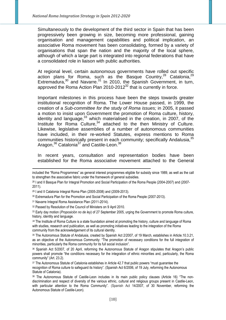Simultaneously to the development of the third sector in Spain that has been progressively been growing in size, becoming more professional, gaining organisation and management capabilities and political implication, an associative Roma movement has been consolidating, formed by a variety of organisations that span the nation and the majority of the local sphere, although of which a large part is integrated into regional federations that have a consolidated role in liaison with public authorities.

At regional level, certain autonomous governments have rolled out specific action plans for Roma, such as the Basque Country,  $28$  Catalonia,  $29$ Extremadura, $30$  and Navarre. $31$  In 2010, the Spanish Government, in turn, approved the Roma Action Plan  $2010-2012^{32}$  that is currently in force.

Important milestones in this process have been the steps towards greater institutional recognition of Roma. The Lower House passed, in 1999, the creation of a Sub-committee for the study of Roma issues; in 2005, it passed a motion to insist upon Government the promotion of Roma culture, history, identity and language,  $33$  which materialised in the creation, in 2007, of the Institute for Roma Culture,<sup>34</sup> attached to the then Ministry of Culture. Likewise, legislative assemblies of a number of autonomous communities have included, in their re-worked Statutes, express mentions to Roma communities historically present in each community; specifically Andalusia.<sup>35</sup> Aragon,<sup>36</sup> Catalonia<sup>37</sup> and Castile-Leon.<sup>38</sup>

In recent years, consultation and representation bodies have been established for the Roma associative movement attached to the General

-

included the "Roma Programmes" as general interest programmes eligible for subsidy since 1989, as well as the call to strengthen the associative fabric under the framework of general subsidies.

<sup>28</sup> I and II Basque Plan for Integral Promotion and Social Participation of the Roma People (2004-2007) and (2007- 2011).

<sup>29</sup> I and II Catalonia Integral Roma Plan (2005-2008) and (2009-2013).

<sup>30</sup> Extremadura Plan for the Promotion and Social Participation of the Roma People (2007-2013).

<sup>31</sup> Navarre Integral Roma Assistance Plan (2011-2014).

<sup>&</sup>lt;sup>32</sup> Passed by Resolution of the Council of Ministers on 9 April 2010.

<sup>33</sup> Early day motion (*Proposición no de ley*) of 27 September 2005, urging the Government to promote Roma culture, history, identity and language.

*<sup>34</sup>* The Institute of Roma Culture is a state foundation aimed at promoting the history, culture and language of Roma with studies, research and publication, as well as promoting initiatives leading to the integration of the Roma community from the acknowledgement of its cultural identity.

<sup>35</sup> The Autonomous Statute of Andalusia, created by Spanish Act 2/2007, of 19 March, establishes in Article.10.3.21, as an objective of the Autonomous Community: "The promotion of necessary conditions for the full integration of minorities, particularly the Roma community for its full social inclusion".

<sup>36</sup> Spanish Act 5/2007, of 20 April, reforming the Autonomous Statute of Aragon stipulates that Aragon's public powers shall promote "the conditions necessary for the integration of ethnic minorities and, particularly, the Roma community" (Art. 23.2).

<sup>37</sup> The Autonomous Statute of Catalonia establishes in Article 42.7 that public powers "must guarantee the recognition of Roma culture to safeguard its history". (Spanish Act 6/2006, of 19 July, reforming the Autonomous Statute of Catalonia).

<sup>38</sup> The Autonomous Statute of Castile-Leon includes in its main public policy clauses (Article 16) "The nondiscrimination and respect of diversity of the various ethnic, cultural and religious groups present in Castile-Leon, with particular attention to the Roma Community". (Spanish Act 14/2007, of 30 November, reforming the Autonomous Statute of Castile-Leon).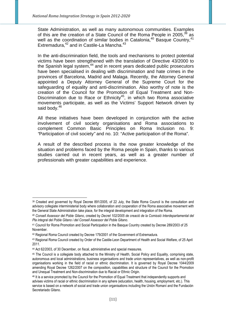State Administration, as well as many autonomous communities. Examples of this are the creation of a State Council of the Roma People in 2005, $39$  as well as the coordination of similar bodies in Catalonia,  $40$  Basque Country,  $41$ Extremadura, $42$  and in Castile-La Mancha. $43$ 

In the anti-discrimination field, the tools and mechanisms to protect potential victims have been strengthened with the translation of Directive 43/2000 to the Spanish legal system,<sup>44</sup> and in recent years dedicated public prosecutors have been specialised in dealing with discrimination and hate crimes in the provinces of Barcelona, Madrid and Malaga. Recently, the Attorney General appointed a Deputy Attorney General of the Supreme Court for the safeguarding of equality and anti-discrimination. Also worthy of note is the creation of the Council for the Promotion of Equal Treatment and Non-Discrimination due to Race or Ethnicity<sup>45</sup>, in which two Roma associative movements participate, as well as the Victims' Support Network driven by said body.<sup>46</sup>

All these initiatives have been developed in conjunction with the active involvement of civil society organisations and Roma associations to complement Common Basic Principles on Roma Inclusion no. 9: "Participation of civil society" and no. 10: "Active participation of the Roma".

A result of the described process is the now greater knowledge of the situation and problems faced by the Roma people in Spain, thanks to various studies carried out in recent years, as well as a greater number of professionals with greater capabilities and experience.

 $\overline{a}$ 

<sup>39</sup> Created and governed by Royal Decree 891/2005, of 22 July, the State Roma Council is the consultation and advisory collegiate interministerial body where collaboration and cooperation of the Roma associative movement with the General State Administration take place, for the integral development and integration of the Roma.

<sup>40</sup> *Consell Assessor del Poble Gitano*, created by *Decret 102/2005 de creació de la Comissió Interdepartamental del Pla integral del Poble Gitano i del Consell Assessor del Poble Gitano*.

<sup>41</sup> Council for Roma Promotion and Social Participation in the Basque Country created by Decree 289/2003 of 25 November.

<sup>42</sup> Regional Roma Council created by Decree 179/2001 of the Government of Extremadura.

<sup>43</sup> Regional Roma Council created by Order of the Castile-Leon Department of Health and Social Welfare, of 25 April 2011.

<sup>44</sup> Act 62/2003, of 30 December, on fiscal, administrative and special measures.

<sup>45</sup> The Council is a collegiate body attached to the Ministry of Health, Social Policy and Equality, comprising state, autonomous and local administrations, business organisations and trade union representatives, as well as non-profit organisations working in the field of racial or ethnic discrimination. It is governed by Royal Decree 1044/2009 amending Royal Decree 1262/2007 on the composition, capabilities and structure of the Council for the Promotion and Unequal Treatment and Non-discrimination due to Racial or Ethnic Origin.

<sup>46</sup> It is a service promoted by the Council for the Promotion of Equal Treatment that independently supports and advises victims of racial or ethnic discrimination in any sphere (education, health, housing, employment, etc.). This service is based on a network of social and trade union organisations including the Unión Romaní and the Fundación Secretariado Gitano.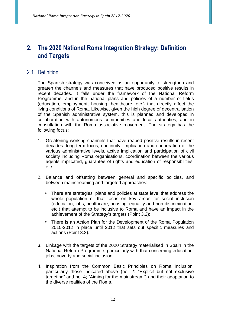# **2. The 2020 National Roma Integration Strategy: Definition and Targets**

## 2.1. Definition

The Spanish strategy was conceived as an opportunity to strengthen and greaten the channels and measures that have produced positive results in recent decades. It falls under the framework of the National Reform Programme, and in the national plans and policies of a number of fields (education, employment, housing, healthcare, etc.) that directly affect the living conditions of Roma. Likewise, given the high degree of decentralisation of the Spanish administrative system, this is planned and developed in collaboration with autonomous communities and local authorities, and in consultation with the Roma associative movement. The strategy has the following focus:

- 1. Greatening working channels that have reaped positive results in recent decades: long-term focus, continuity, implication and cooperation of the various administrative levels, active implication and participation of civil society including Roma organisations, coordination between the various agents implicated, guarantee of rights and education of responsibilities, etc.
- 2. Balance and offsetting between general and specific policies, and between mainstreaming and targeted approaches:
	- There are strategies, plans and policies at state level that address the whole population or that focus on key areas for social inclusion (education, jobs, healthcare, housing, equality and non-discrimination, etc.) that attempt to be inclusive to Roma and have an impact in the achievement of the Strategy's targets (Point 3.2);
	- There is an Action Plan for the Development of the Roma Population 2010-2012 in place until 2012 that sets out specific measures and actions (Point 3.3).
- 3. Linkage with the targets of the 2020 Strategy materialised in Spain in the National Reform Programme, particularly with that concerning education, jobs, poverty and social inclusion.
- 4. Inspiration from the Common Basic Principles on Roma Inclusion, particularly those indicated above (no. 2: "Explicit but not exclusive targeting" and no. 4; "Aiming for the mainstream") and their adaptation to the diverse realities of the Roma.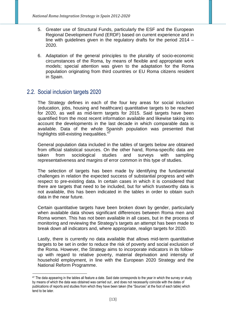- 5. Greater use of Structural Funds, particularly the ESF and the European Regional Development Fund (ERDF) based on current experience and in line with guidelines given in the regulatory drafts for the period 2014 – 2020.
- 6. Adaptation of the general principles to the plurality of socio-economic circumstances of the Roma, by means of flexible and appropriate work models; special attention was given to the adaptation for the Roma population originating from third countries or EU Roma citizens resident in Spain.

# 2.2. Social inclusion targets 2020

The Strategy defines in each of the four key areas for social inclusion (education, jobs, housing and healthcare) quantitative targets to be reached for 2020, as well as mid-term targets for 2015. Said targets have been quantified from the most recent information available and likewise taking into account the developments in the last decade in which comparable data is available. Data of the whole Spanish population was presented that highlights still-existing inequalities.<sup>47</sup>

General population data included in the tables of targets below are obtained from official statistical sources. On the other hand, Roma-specific data are taken from sociological studies and surveys with sampling representativeness and margins of error common in this type of studies.

The selection of targets has been made by identifying the fundamental challenges in relation the expected success of substantial progress and with respect to pre-existing data. In certain cases in which it is considered that there are targets that need to be included, but for which trustworthy data is not available, this has been indicated in the tables in order to obtain such data in the near future.

Certain quantitative targets have been broken down by gender, particularly when available data shows significant differences between Roma men and Roma women. This has not been available in all cases, but in the process of monitoring and reviewing the Strategy's targets an attempt has been made to break down all indicators and, where appropriate, realign targets for 2020.

Lastly, there is currently no data available that allows mid-term quantitative targets to be set in order to reduce the risk of poverty and social exclusion of the Roma. However, the Strategy aims to incorporate indicators in its followup with regard to relative poverty, material deprivation and intensity of household employment, in line with the European 2020 Strategy and the National Reform Programme.

 $\overline{a}$  $^{47}$  The data appearing in the tables all feature a date. Said date corresponds to the year in which the survey or study by means of which the data was obtained was carried out , and does not necessarily coincide with the dates of publications of reports and studies from which they have been taken (the "Sources" at the foot of each table) which tend to be later.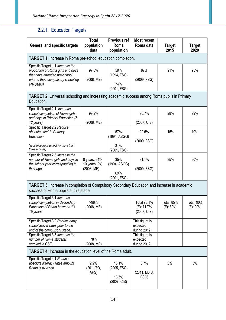# 2.2.1. Education Targets

| <b>General and specific targets</b>                                                                                                                           | <b>Total</b><br>population                 | <b>Previous ref</b><br>Roma                  | <b>Most recent</b><br>Roma data                 | <b>Target</b>                 | <b>Target</b>                 |
|---------------------------------------------------------------------------------------------------------------------------------------------------------------|--------------------------------------------|----------------------------------------------|-------------------------------------------------|-------------------------------|-------------------------------|
|                                                                                                                                                               | data                                       | population                                   |                                                 | 2015                          | 2020                          |
| <b>TARGET 1.</b> Increase in Roma pre-school education completion.                                                                                            |                                            |                                              |                                                 |                               |                               |
| Specific Target 1.1 Increase the<br>proportion of Roma girls and boys<br>that have attended pre-school<br>prior to their compulsory schooling<br>$(5$ years). | 97.5%<br>(2008, ME)                        | 59%<br>(1994, FSG)<br>74%<br>(2001, FSG)     | 87%<br>(2009, FSG)                              | 91%                           | 95%                           |
| <b>TARGET 2.</b> Universal schooling and increasing academic success among Roma pupils in Primary<br>Education.                                               |                                            |                                              |                                                 |                               |                               |
| Specific Target 2.1. Increase<br>school completion of Roma girls<br>and boys in Primary Education (6-<br>12 years).                                           | 99.9%<br>(2008, ME)                        |                                              | 96.7%<br>(2007, CIS)                            | 98%                           | 99%                           |
| Specific Target 2.2 Reduce<br>absenteeism <sup>*</sup> in Primary<br>Education.<br>*(absence from school for more than<br>three months)                       |                                            | 57%<br>(1994, ASGG)<br>31%<br>(2001, FSG)    | 22.5%<br>(2009, FSG)                            | 15%                           | 10%                           |
| Specific Target 2.3 Increase the<br>number of Roma girls and boys in<br>the school year corresponding to<br>their age.                                        | 8 years: 94%<br>10 years: 9%<br>(2008, ME) | 35%<br>(1994, ASGG)<br>69%<br>(2001, FSG)    | 81.1%<br>(2009, FSG)                            | 85%                           | 90%                           |
| <b>TARGET 3.</b> Increase in completion of Compulsory Secondary Education and increase in academic<br>success of Roma pupils at this stage                    |                                            |                                              |                                                 |                               |                               |
| Specific Target 3.1 Increase<br>school completion in Secondary<br>Education of Roma between 13-<br>15 years.                                                  | >98%<br>(2008, ME)                         |                                              | <b>Total 78.1%</b><br>(F): 71.7%<br>(2007, CIS) | <b>Total: 85%</b><br>(F): 80% | <b>Total: 90%</b><br>(F): 90% |
| Specific Target 3.2 Reduce early<br>school leaver rates prior to the<br>end of the compulsory stage.                                                          |                                            |                                              | This figure is<br>expected<br>during 2012       |                               |                               |
| Specific Target 3.3 Increase the<br>number of Roma students<br>enrolled in CSE.                                                                               | 78%<br>(2008, ME)                          |                                              | This figure is<br>expected<br>during 2012       |                               |                               |
| <b>TARGET 4:</b> Increase in the education level of the Roma adult.                                                                                           |                                            |                                              |                                                 |                               |                               |
| Specific Target 4.1 Reduce<br>absolute illiteracy rates amount<br>Roma (>16 years)                                                                            | 2.2%<br>(2011/3Q,<br>APS)                  | 13.1%<br>(2005, FSG)<br>13.5%<br>(2007, CIS) | 8.7%<br>(2011, EDIS;<br>FSG)                    | 6%                            | 3%                            |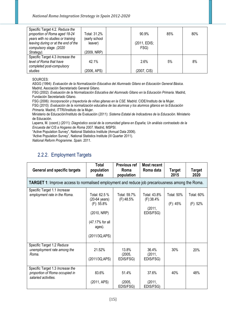| Specific Target 4.2. Reduce the<br>proportion of Roma aged 18-24<br>years with no studies or training<br>leaving during or at the end of the<br>compulsory stage. (2020 | Total: 31.2%<br>(early school<br>leaver) | 90.9%<br>(2011, EDIS;<br>FSG) | 85% | 80% |
|-------------------------------------------------------------------------------------------------------------------------------------------------------------------------|------------------------------------------|-------------------------------|-----|-----|
| Strategy).                                                                                                                                                              | (2009, NRP)                              |                               |     |     |
| Specific Target 4.3 Increase the<br>level of Roma that have<br>completed post-compulsory                                                                                | $42.1\%$                                 | 2.6%                          | 5%  | 8%  |
| studies                                                                                                                                                                 | (2006, APS)                              | (2007, CIS)                   |     |     |

SOURCES:

ASGG (1994): *Evaluación de la Normalización Educativa del Alumnado Gitano en Educación General Básica*. Madrid, Asociación Secretariado General Gitano.

FSG (2002): *Evaluación de la Normalización Educativa del Alumnado Gitano en la Educación Primaria*. Madrid, Fundación Secretariado Gitano.

FSG (2006): *Incorporación y trayectoria de niñas gitanas en la CSE*. Madrid. CIDE/Instituto de la Mujer.

FSG (2010): *Evaluación de la normalización educativa de las alumnas y los alumnos gitanos en la Educación Primaria.* Madrid, ITTRI/Instituto de la Mujer.

Ministerio de Educación/Instituto de Evaluación (2011): *Sistema Estatal de Indicadores de la Educación.* Ministerio de Educación.

Laparra, M. (coord.) (2011): *Diagnóstico social de la comunidad gitana en España; Un análisis contrastado de la Encuesta del CIS a Hogares de Roma 2007.* Madrid, MSPSI.

"Active Population Survey", National Statistics Institute (Annual Data 2006).

*"*Active Population Survey"*,* National Statistics Institute (III Quarter 2011).

*National Reform Programme. Spain.* 2011.

## 2.2.2. Employment Targets

| <b>General and specific targets</b>                                                                    | <b>Total</b><br>population<br>data                                                                            | Previous ref<br>Roma<br>population | <b>Most recent</b><br>Roma data                  | <b>Target</b><br>2015            | <b>Target</b><br>2020         |  |  |  |
|--------------------------------------------------------------------------------------------------------|---------------------------------------------------------------------------------------------------------------|------------------------------------|--------------------------------------------------|----------------------------------|-------------------------------|--|--|--|
| <b>TARGET 1:</b> Improve access to normalised employment and reduce job precariousness among the Roma. |                                                                                                               |                                    |                                                  |                                  |                               |  |  |  |
| Specific Target 1.1 Increase<br>employment rate in the Roma.                                           | Total: 62.5 %<br>(20-64 years)<br>$(F)$ : 55.8%<br>(2010, NRP)<br>(47.17% for all<br>ages).<br>(2011/3Q, APS) | Total: 59.7%<br>(F):48.5%          | Total: 43.8%<br>(F):38.4%<br>(2011,<br>EDIS/FSG) | <b>Total: 50%</b><br>$(F)$ : 45% | <b>Total: 60%</b><br>(F): 52% |  |  |  |
| Specific Target 1.2 Reduce<br>unemployment rate among the<br>Roma.                                     | 21.52%<br>(2011/3Q, APS)                                                                                      | 13.8%<br>(2005,<br>EDIS/FSG)       | 36.4%<br>(2011,<br>EDIS/FSG)                     | 30%                              | 20%                           |  |  |  |
| Specific Target 1.3 Increase the<br>proportion of Roma occupied in<br>salaried activities.             | 83.6%<br>(2011, APS)                                                                                          | 51.4%<br>(2005,<br>EDIS/FSG)       | 37.6%<br>(2011,<br>EDIS/FSG)                     | 40%                              | 48%                           |  |  |  |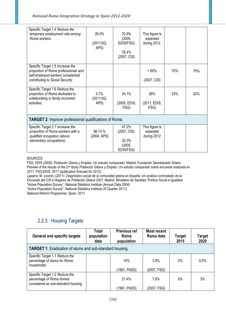| Specific Target 1.4 Reduce the<br>temporary employment rate among<br>Roma workers.                                                                 | 26.0%<br>(2011/3Q,<br>APS) | 70.9%<br>(2005,<br>EDIS/FSG)<br>76.4%<br>(2007, CIS)  | This figure is<br>expected<br>during 2012. |     |     |  |
|----------------------------------------------------------------------------------------------------------------------------------------------------|----------------------------|-------------------------------------------------------|--------------------------------------------|-----|-----|--|
| Specific Target 1.5 Increase the<br>proportion of Roma professionals and<br>self-employed workers (unsalaried)<br>contributing to Social Security. |                            |                                                       | < 60%<br>(2007, CIS)                       | 70% | 75% |  |
| Specific Target 1.6 Reduce the<br>proportion of Roma dedicated to<br>collaborating in family economic<br>activities.                               | 0.7%<br>(2011/3Q,<br>APS)  | 24.1%<br>(2005, EDIS;<br>FSG)                         | 26%<br>(2011, EDIS;<br>FSG)                | 23% | 20% |  |
| <b>TARGET 2:</b> Improve professional qualifications of Roma.                                                                                      |                            |                                                       |                                            |     |     |  |
| Specific Target 2.1 Increase the<br>proportion of Roma workers with a<br>qualified occupation (above<br>elementary occupations).                   | 86.74 %<br>(2004, APS)     | 47.2%<br>(2007, CIS):<br>32.3%<br>(2005,<br>EDIS/FSG) | This figure is<br>expected<br>during 2012  |     |     |  |

#### SOURCES:

FSG; EDIS (2005): *Población Gitana y Empleo: Un estudio comparado*. Madrid, Fundación Secretariado Gitano. Preview of the results of the 2nd study *Población Gitana y Empleo: Un estudio comparado sobre encuesta realizada en 2011.* FSG-EDIS. 2011 (publication forecast for 2012).

Laparra, M. (coord.) (2011): *Diagnóstico social de la comunidad gitana en España; Un análisis contrastado de la Encuesta del CIS a Hogares de Población Gitana 2007.* Madrid, Ministerio de Sanidad, Política Social e Igualdad. "Active Population Survey", National Statistics Institute (Annual Data 2004).

"Active Population Survey", National Statistics Institute (III Quarter 2011).

*National Reform Programme. Spain*. 2011.

## 2.2.3. Housing Targets

| <b>General and specific targets</b>                                           | Total<br>population<br>data | <b>Previous ref</b><br>Roma<br>population | <b>Most recent</b><br>Roma data | <b>Target</b><br>2015 | <b>Target</b><br>2020 |
|-------------------------------------------------------------------------------|-----------------------------|-------------------------------------------|---------------------------------|-----------------------|-----------------------|
| <b>TARGET 1.</b> Eradication of slums and sub-standard housing.               |                             |                                           |                                 |                       |                       |
| Specific Target 1.1 Reduce the<br>percentage of slums for Roma<br>households. |                             | 10%                                       | 3.9%                            | $2\%$                 | 0,5%                  |
| Specific Target 1.2 Reduce the                                                |                             | (1991, PASS)                              | (2007, FSG)                     |                       |                       |
| percentage of Roma homes<br>considered as sub-standard housing.               |                             | 21.4%                                     | 7.8%                            | 6%                    | 3%                    |
|                                                                               |                             | (1991, PASS)                              | (2007, FSG)                     |                       |                       |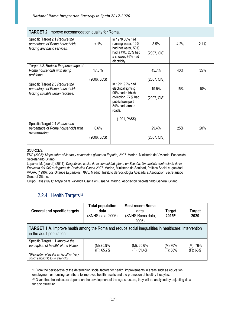| <b>TARGET 2.</b> Improve accommodation quality for Roma.                                              |                       |                                                                                                                                                    |                      |      |      |  |
|-------------------------------------------------------------------------------------------------------|-----------------------|----------------------------------------------------------------------------------------------------------------------------------------------------|----------------------|------|------|--|
| Specific Target 2.1 Reduce the<br>percentage of Roma households<br>lacking any basic services.        | $< 1\%$               | In 1978 66% had<br>running water, 15%<br>had hot water, 50%<br>had a WC, 25% had<br>a shower, 86% had<br>electricity                               | 8.5%<br>(2007, CIS)  | 4.2% | 2.1% |  |
| Target 2.2. Reduce the percentage of<br>Roma households with damp<br>problems.                        | 17.3 %<br>(2006, LCS) |                                                                                                                                                    | 45.7%<br>(2007, CIS) | 40%  | 35%  |  |
| Specific Target 2.3 Reduce the<br>percentage of Roma households<br>lacking suitable urban facilities. |                       | In 1991 92% had<br>electrical lighting,<br>95% had rubbish<br>collection, 77% had<br>public transport,<br>84% had tarmac<br>roads.<br>(1991, PASS) | 19.5%<br>(2007, CIS) | 15%  | 10%  |  |
| Specific Target 2.4 Reduce the<br>percentage of Roma households with<br>overcrowding.                 | 0.6%<br>(2006, LCS)   |                                                                                                                                                    | 29.4%<br>(2007, CIS) | 25%  | 20%  |  |

SOURCES:

 $\overline{a}$ 

FSG (2008): *Mapa sobre vivienda y comunidad gitana en España, 2007.* Madrid. Ministerio de Vivienda; Fundación Secretariado Gitano.

Laparra, M. (coord.) (2011): *Diagnóstico social de la comunidad gitana en España; Un análisis contrastado de la Encuesta del CIS a Hogares de Población Gitana 2007.* Madrid, Ministerio de Sanidad, Política Social e Igualdad. VV.AA. (1990): *Los Gitanos Españoles, 1978.* Madrid, Instituto de Sociología Aplicada & Asociación Secretariado General Gitano.

Grupo Pass (1991): *Mapa de la Vivienda Gitana en España.* Madrid, Asociación Secretariado General Gitano.

## 2.2.4. Health Targets<sup>48</sup>

| <b>General and specific targets</b>                                                                                                                   | <b>Total population</b><br><b>Most recent Roma</b><br>data<br>data<br>(SNHS Roma data,<br>(SNHS data, 2006)<br>2006) |                                | <b>Target</b><br>201549 | Target<br>2020          |  |  |
|-------------------------------------------------------------------------------------------------------------------------------------------------------|----------------------------------------------------------------------------------------------------------------------|--------------------------------|-------------------------|-------------------------|--|--|
| <b>TARGET 1.A.</b> Improve health among the Roma and reduce social inequalities in healthcare: Intervention<br>in the adult population                |                                                                                                                      |                                |                         |                         |  |  |
| Specific Target 1.1 Improve the<br>perception of health* of the Roma<br>*(Perception of health as "good" or "very<br>good" among 35 to 54 year olds). | (M):75.9%<br>$(F)$ : 65.7%                                                                                           | $(M): 65.6\%$<br>$(F)$ : 51.4% | (M):70%<br>$(F)$ : 58%  | (M): 76%<br>$(F)$ : 66% |  |  |

48 From the perspective of the determining social factors for health, improvements in areas such as education,

employment or housing contribute to improved health results and the promotion of healthy lifestyles.

49 Given that the indicators depend on the development of the age structure, they will be analysed by adjusting data for age structure.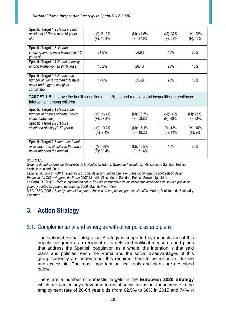| Specific Target 1.2 Reduce traffic<br>accidents of Roma over 16 years<br>old.                                   | (M): 21.2%<br>(F): 15.8% | (M): 41.6%<br>(F): 27.9% | $(M): 32\%$<br>$(F)$ : 22% | (M): 22%<br>$(F)$ : 16% |
|-----------------------------------------------------------------------------------------------------------------|--------------------------|--------------------------|----------------------------|-------------------------|
| Specific Target 1.3. Reduce<br>smoking among male Roma over 16<br>years old.                                    | 31.6%                    | 54.9%                    | 40%                        | 30%                     |
| Specific Target 1.4 Reduce obesity<br>among Roma women (>16 years).                                             | 15.2%                    | 26.4%                    | 20%                        | 15%                     |
| Specific Target 1.5 Reduce the<br>number of Roma women that have<br>never had a gynaecological<br>consultation. | 17.6%                    | 25.3%                    | 20%                        | 16%                     |

**TARGET 1.B.** Improve the health condition of the Roma and reduce social inequalities in healthcare: Intervention among children

| Specific Target 2.1 Reduce the<br>number of home accidents (house,<br>stairs, lobby, etc.).                  | $(M)$ : 26.4%<br>(F): 27.8%   | $(M): 36.7\%$<br>$(F)$ : 53.8% | $(M): 30\%$<br>$(F)$ : 40%. | $(M)$ : 26%.<br>$(F)$ : 28%. |
|--------------------------------------------------------------------------------------------------------------|-------------------------------|--------------------------------|-----------------------------|------------------------------|
| Specific Target 2.2 Reduce<br>childhood obesity (2-17 years).                                                | $(M)$ : 10.2%<br>$(F)$ : 9.4% | (M): 16.1%<br>(F): 19.2%       | $(M)$ 13%<br>$(F)$ : 14%    | $(M): 10\%$<br>$(F)$ : 9%    |
| Specific Target 2.3 Increase dental<br>assistance (no. of children that have<br>never attended the dentist). | $(M): 39\%$<br>$(F)$ : 38.4%  | (M): 49.5%<br>$(F)$ : 51.4%    | 45%                         | 38%                          |

SOURCES:

*Sistema de Indicadores de Desarrollo de la Población Gitana. Grupo de Indicadores.* Ministerio de Sanidad, Política Social e Igualdad. 2011.

Laparra, M. (coord.) (2011): *Diagnóstico social de la comunidad gitana en España; Un análisis contrastado de la Encuesta del CIS a Hogares de Roma 2007.* Madrid, Ministerio de Sanidad, Política Social e Igualdad.

La Parra, D. (2009): *Hacia la equidad en salud. Estudio comparativo de las encuestas nacionales de salud a población gitana y población general de España, 2006*. Madrid, MSC; FSG.

MSC / FSG (2005): *Salud y comunidad gitana. Análisis de propuestas para la actuación.* Madrid, Ministerio de Sanidad y Consumo*.* 

# **3. Action Strategy**

## 3.1. Complementarity and synergies with other policies and plans

The National Roma Integration Strategy is supported by the inclusion of this population group as a recipient of targets and political measures and plans that address the Spanish population as a whole: the intention is that said plans and policies reach the Roma and the social disadvantages of this group currently are understood; this requires them to be inclusive, flexible and accessible. The most important political tools and plans are described below.

There are a number of domestic targets in the **European 2020 Strategy** which are particularly relevant in terms of social inclusion: the increase in the employment rate of 20-64 year olds (from 62.5% to 66% in 2015 and 74% in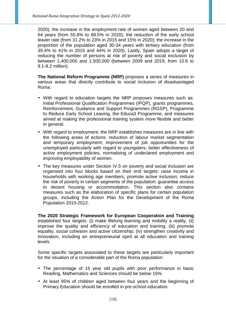2020), the increase in the employment rate of women aged between 20 and 64 years (from 55.8% to 68.5% in 2020), the reduction of the early school leaver rate (from 31.2% to 23% in 2015 and 15% in 2020); the increase in the proportion of the population aged 30-34 years with tertiary education (from 39.4% to 41% in 2015 and 44% in 2020). Lastly, Spain adopts a target of reducing the number of persons at risk of poverty and social exclusion by between 1,400,000 and 1,500,000 (between 2009 and 2019, from 10.6 to 9.1-9.2 million).

**The National Reform Programme (NRP)** proposes a series of measures in various areas that directly contribute to social inclusion of disadvantaged Roma:

- With regard to education targets the NRP proposes measures such as: Initial Professional Qualification Programmes (IPQP), grants programmes, Reinforcement, Guidance and Support Programmes (RGSP), Programme to Reduce Early School Leaving, the Educa3 Programme, and measures aimed at making the professional training system more flexible and better in general.
- With regard to employment, the NRP establishes measures are in line with the following areas of actions: reduction of labour market segmentation and temporary employment; improvement of job opportunities for the unemployed particularly with regard to youngsters; better effectiveness of active employment policies, normalising of undeclared employment and improving employability of women.
- The key measures under Section IV.5 on poverty and social inclusion are organised into four blocks based on their end targets: raise income in households with working age members; promote active inclusion; reduce the risk of poverty in certain segments of the population; guarantee access to decent housing or accommodation. This section also contains measures such as the elaboration of specific plans for certain population groups, including the Action Plan for the Development of the Roma Population 2010-2012.

**The 2020 Strategic Framework for European Cooperation and Training**  established four targets: (i) make lifelong learning and mobility a reality; (ii) improve the quality and efficiency of education and training; (iii) promote equality, social cohesion and active citizenship; (iv) strengthen creativity and innovation, including an entrepreneurial spirit at all education and training levels.

Some specific targets associated to these targets are particularly important for the situation of a considerable part of the Roma population:

- The percentage of 15 year old pupils with poor performance in basic Reading, Mathematics and Sciences should be below 15%.
- At least 95% of children aged between four years and the beginning of Primary Education should be enrolled in pre-school education.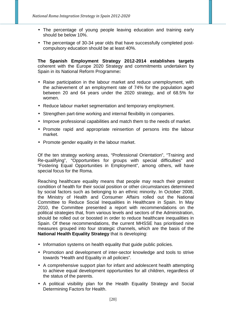- The percentage of young people leaving education and training early should be below 10%.
- The percentage of 30-34 year olds that have successfully completed postcompulsory education should be at least 40%.

**The Spanish Employment Strategy 2012-2014 establishes targets** coherent with the Europe 2020 Strategy and commitments undertaken by Spain in its National Reform Programme**:** 

- Raise participation in the labour market and reduce unemployment, with the achievement of an employment rate of 74% for the population aged between 20 and 64 years under the 2020 strategy, and of 68.5% for women.
- Reduce labour market segmentation and temporary employment.
- Strengthen part-time working and internal flexibility in companies.
- Improve professional capabilities and match them to the needs of market.
- Promote rapid and appropriate reinsertion of persons into the labour market.
- Promote gender equality in the labour market.

Of the ten strategy working areas, "Professional Orientation", "Training and Re-qualifying", "Opportunities for groups with special difficulties" and "Fostering Equal Opportunities in Employment", among others, will have special focus for the Roma.

Reaching healthcare equality means that people may reach their greatest condition of health for their social position or other circumstances determined by social factors such as belonging to an ethnic minority. In October 2008, the Ministry of Health and Consumer Affairs rolled out the National Committee to Reduce Social Inequalities in Healthcare in Spain. In May 2010, the Committee presented a report with recommendations on the political strategies that, from various levels and sectors of the Administration, should be rolled out or boosted in order to reduce healthcare inequalities in Spain. Of these recommendations, the current MHSSE has prioritised nine measures grouped into four strategic channels, which are the basis of the **National Health Equality Strategy** that is developing:

- Information systems on health equality that guide public policies.
- Promotion and development of inter-sector knowledge and tools to strive towards "Health and Equality in all policies".
- A comprehensive support plan for infant and adolescent health attempting to achieve equal development opportunities for all children, regardless of the status of the parents.
- A political visibility plan for the Health Equality Strategy and Social Determining Factors for Health.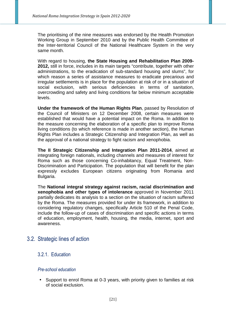The prioritising of the nine measures was endorsed by the Health Promotion Working Group in September 2010 and by the Public Health Committee of the Inter-territorial Council of the National Healthcare System in the very same month.

With regard to housing, **the State Housing and Rehabilitation Plan 2009- 2012,** still in force, includes in its main targets "contribute, together with other administrations, to the eradication of sub-standard housing and slums", for which reason a series of assistance measures to eradicate precarious and irregular settlements is in place for the population at risk of or in a situation of social exclusion, with serious deficiencies in terms of sanitation, overcrowding and safety and living conditions far below minimum acceptable levels.

**Under the framework of the Human Rights Plan**, passed by Resolution of the Council of Ministers on 12 December 2008, certain measures were established that would have a potential impact on the Roma. In addition to the measure concerning the elaboration of a specific plan to improve Roma living conditions (to which reference is made in another section), the Human Rights Plan includes a Strategic Citizenship and Integration Plan, as well as the approval of a national strategy to fight racism and xenophobia.

**The II Strategic Citizenship and Integration Plan 2011-2014**, aimed at integrating foreign nationals, including channels and measures of interest for Roma such as those concerning Co-inhabitancy, Equal Treatment, Non-Discrimination and Participation. The population that will benefit for the plan expressly excludes European citizens originating from Romania and Bulgaria.

The **National integral strategy against racism, racial discrimination and xenophobia and other types of intolerance** approved in November 2011 partially dedicates its analysis to a section on the situation of racism suffered by the Roma. The measures provided for under its framework, in addition to considering regulatory changes, specifically Article 510 of the Penal Code, include the follow-up of cases of discrimination and specific actions in terms of education, employment, health, housing, the media, internet, sport and awareness.

## 3.2. Strategic lines of action

#### 3.2.1. Education

#### *Pre-school education*

• Support to enrol Roma at 0-3 years, with priority given to families at risk of social exclusion.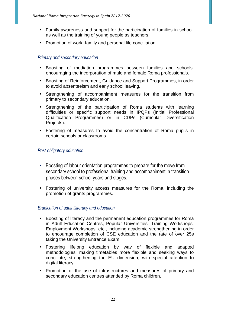- Family awareness and support for the participation of families in school, as well as the training of young people as teachers.
- Promotion of work, family and personal life conciliation.

#### *Primary and secondary education*

- Boosting of mediation programmes between families and schools, encouraging the incorporation of male and female Roma professionals.
- Boosting of Reinforcement, Guidance and Support Programmes, in order to avoid absenteeism and early school leaving.
- Strengthening of accompaniment measures for the transition from primary to secondary education.
- Strengthening of the participation of Roma students with learning difficulties or specific support needs in IPQPs (Initial Professional Qualification Programmes) or in CDPs (Curricular Diversification Projects).
- Fostering of measures to avoid the concentration of Roma pupils in certain schools or classrooms.

#### *Post-obligatory education*

- Boosting of labour orientation programmes to prepare for the move from secondary school to professional training and accompaniment in transition phases between school years and stages.
- Fostering of university access measures for the Roma, including the promotion of grants programmes.

#### *Eradication of adult illiteracy and education*

- Boosting of literacy and the permanent education programmes for Roma in Adult Education Centres, Popular Universities, Training Workshops, Employment Workshops, etc., including academic strengthening in order to encourage completion of CSE education and the rate of over 25s taking the University Entrance Exam.
- Fostering lifelong education by way of flexible and adapted methodologies, making timetables more flexible and seeking ways to conciliate, strengthening the EU dimension, with special attention to digital literacy.
- Promotion of the use of infrastructures and measures of primary and secondary education centres attended by Roma children.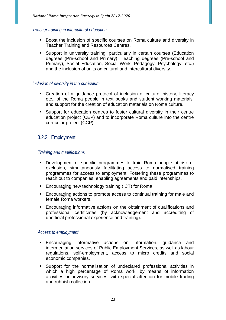#### *Teacher training in intercultural education*

- Boost the inclusion of specific courses on Roma culture and diversity in Teacher Training and Resources Centres.
- Support in university training, particularly in certain courses (Education degrees (Pre-school and Primary), Teaching degrees (Pre-school and Primary), Social Education, Social Work, Pedagogy, Psychology, etc.) and the inclusion of units on cultural and intercultural diversity.

#### *Inclusion of diversity in the curriculum*

- Creation of a guidance protocol of inclusion of culture, history, literacy etc., of the Roma people in text books and student working materials, and support for the creation of education materials on Roma culture.
- Support for education centres to foster cultural diversity in their centre education project (CEP) and to incorporate Roma culture into the centre curricular project (CCP).

#### 3.2.2. Employment

#### *Training and qualifications*

- Development of specific programmes to train Roma people at risk of exclusion, simultaneously facilitating access to normalised training programmes for access to employment. Fostering these programmes to reach out to companies, enabling agreements and paid internships.
- Encouraging new technology training (ICT) for Roma.
- Encouraging actions to promote access to continual training for male and female Roma workers.
- Encouraging informative actions on the obtainment of qualifications and professional certificates (by acknowledgement and accrediting of unofficial professional experience and training).

#### *Access to employment*

- Encouraging informative actions on information, guidance and intermediation services of Public Employment Services, as well as labour regulations, self-employment, access to micro credits and social economic companies.
- Support for the normalisation of undeclared professional activities in which a high percentage of Roma work, by means of information activities or advisory services, with special attention for mobile trading and rubbish collection.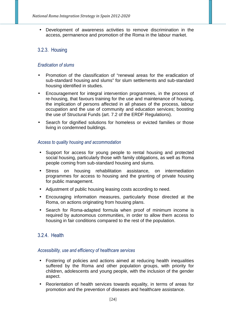• Development of awareness activities to remove discrimination in the access, permanence and promotion of the Roma in the labour market.

## 3.2.3. Housing

#### *Eradication of slums*

- Promotion of the classification of "renewal areas for the eradication of sub-standard housing and slums" for slum settlements and sub-standard housing identified in studies.
- Encouragement for integral intervention programmes, in the process of re-housing, that favours training for the use and maintenance of housing, the implication of persons affected in all phases of the process, labour occupation and the use of community and education services; boosting the use of Structural Funds (art. 7.2 of the ERDF Regulations).
- Search for dignified solutions for homeless or evicted families or those living in condemned buildings.

#### *Access to quality housing and accommodation*

- Support for access for young people to rental housing and protected social housing, particularly those with family obligations, as well as Roma people coming from sub-standard housing and slums.
- Stress on housing rehabilitation assistance, on intermediation programmes for access to housing and the granting of private housing for public management.
- Adjustment of public housing leasing costs according to need.
- Encouraging information measures, particularly those directed at the Roma, on actions originating from housing plans.
- Search for Roma-adapted formula when proof of minimum income is required by autonomous communities, in order to allow them access to housing in fair conditions compared to the rest of the population.

#### 3.2.4. Health

#### *Accessibility, use and efficiency of healthcare services*

- Fostering of policies and actions aimed at reducing health inequalities suffered by the Roma and other population groups, with priority for children, adolescents and young people, with the inclusion of the gender aspect.
- Reorientation of health services towards equality, in terms of areas for promotion and the prevention of diseases and healthcare assistance.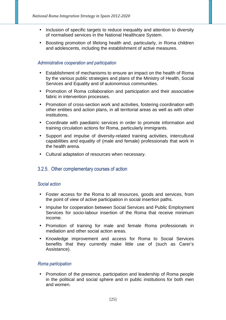- Inclusion of specific targets to reduce inequality and attention to diversity of normalised services in the National Healthcare System.
- Boosting promotion of lifelong health and, particularly, in Roma children and adolescents, including the establishment of active measures.

#### *Administrative cooperation and participation*

- Establishment of mechanisms to ensure an impact on the health of Roma by the various public strategies and plans of the Ministry of Health, Social Services and Equality and of autonomous communities.
- Promotion of Roma collaboration and participation and their associative fabric in intervention processes.
- Promotion of cross-section work and activities, fostering coordination with other entities and action plans, in all territorial areas as well as with other institutions.
- Coordinate with paediatric services in order to promote information and training circulation actions for Roma, particularly immigrants.
- Support and impulse of diversity-related training activities, intercultural capabilities and equality of (male and female) professionals that work in the health arena.
- Cultural adaptation of resources when necessary.

#### 3.2.5. Other complementary courses of action

#### *Social action*

- Foster access for the Roma to all resources, goods and services, from the point of view of active participation in social insertion paths.
- Impulse for cooperation between Social Services and Public Employment Services for socio-labour insertion of the Roma that receive minimum income.
- Promotion of training for male and female Roma professionals in mediation and other social action areas.
- Knowledge improvement and access for Roma to Social Services benefits that they currently make little use of (such as Carer's Assistance).

#### *Roma participation*

• Promotion of the presence, participation and leadership of Roma people in the political and social sphere and in public institutions for both men and women.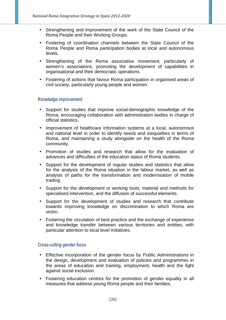- Strengthening and improvement of the work of the State Council of the Roma People and their Working Groups.
- Fostering of coordination channels between the State Council of the Roma People and Roma participation bodies at local and autonomous levels.
- Strengthening of the Roma associative movement, particularly of women's associations, promoting the development of capabilities in organisational and their democratic operations.
- Fostering of actions that favour Roma participation in organised areas of civil society, particularly young people and women.

#### *Knowledge improvement*

- Support for studies that improve social-demographic knowledge of the Roma, encouraging collaboration with administration bodies in charge of official statistics.
- Improvement of healthcare information systems at a local, autonomous and national level in order to identify needs and inequalities in terms of Roma, and maintaining a study alongside on the health of the Roma community.
- Promotion of studies and research that allow for the evaluation of advances and difficulties of the education status of Roma students.
- Support for the development of regular studies and statistics that allow for the analysis of the Roma situation in the labour market, as well as analysis of paths for the transformation and modernisation of mobile trading.
- Support for the development or working tools, material and methods for specialised intervention, and the diffusion of successful elements.
- Support for the development of studies and research that contribute towards improving knowledge on discrimination to which Roma are victim.
- Fostering the circulation of best practice and the exchange of experience and knowledge transfer between various territories and entities, with particular attention to local level initiatives.

#### *Cross-cutting gender focus*

- Effective incorporation of the gender focus by Public Administrations in the design, development and evaluation of policies and programmes in the areas of education and training, employment, health and the fight against social exclusion.
- Fostering education centres for the promotion of gender equality in all measures that address young Roma people and their families.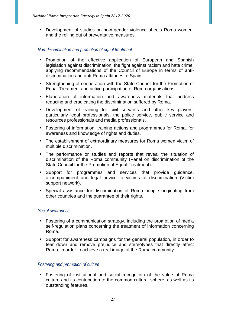• Development of studies on how gender violence affects Roma women, and the rolling out of preventative measures.

#### *Non-discrimination and promotion of equal treatment*

- Promotion of the effective application of European and Spanish legislation against discrimination, the fight against racism and hate crime, applying recommendations of the Council of Europe in terms of antidiscrimination and anti-Roma attitudes to Spain.
- Strengthening of cooperation with the State Council for the Promotion of Equal Treatment and active participation of Roma organisations.
- Elaboration of information and awareness materials that address reducing and eradicating the discrimination suffered by Roma.
- Development of training for civil servants and other key players, particularly legal professionals, the police service, public service and resources professionals and media professionals.
- Fostering of information, training actions and programmes for Roma, for awareness and knowledge of rights and duties.
- The establishment of extraordinary measures for Roma women victim of multiple discrimination.
- The performance or studies and reports that reveal the situation of discrimination of the Roma community (Panel on discrimination of the State Council for the Promotion of Equal Treatment).
- Support for programmes and services that provide guidance, accompaniment and legal advice to victims of discrimination (Victim support network).
- Special assistance for discrimination of Roma people originating from other countries and the guarantee of their rights.

#### *Social awareness*

- Fostering of a communication strategy, including the promotion of media self-regulation plans concerning the treatment of information concerning Roma.
- Support for awareness campaigns for the general population, in order to tear down and remove prejudice and stereotypes that directly affect Roma, in order to achieve a real image of the Roma community.

#### *Fostering and promotion of culture*

• Fostering of institutional and social recognition of the value of Roma culture and its contribution to the common cultural sphere, as well as its outstanding features.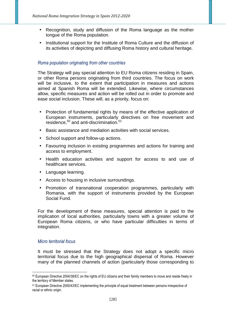- Recognition, study and diffusion of the Roma language as the mother tongue of the Roma population.
- Institutional support for the Institute of Roma Culture and the diffusion of its activities of depicting and diffusing Roma history and cultural heritage.

#### *Roma population originating from other countries*

The Strategy will pay special attention to EU Roma citizens residing in Spain, or other Roma persons originating from third countries. The focus on work will be inclusive, to the extent that participation in measures and actions aimed at Spanish Roma will be extended. Likewise, where circumstances allow, specific measures and action will be rolled out in order to promote and ease social inclusion. These will, as a priority, focus on:

- Protection of fundamental rights by means of the effective application of European instruments, particularly directives on free movement and residence,<sup>50</sup> and anti-discrimination.<sup>51</sup>
- Basic assistance and mediation activities with social services.
- School support and follow-up actions.
- Favouring inclusion in existing programmes and actions for training and access to employment.
- Health education activities and support for access to and use of healthcare services.
- Language learning.
- Access to housing in inclusive surroundings.
- Promotion of transnational cooperation programmes, particularly with Romania, with the support of instruments provided by the European Social Fund.

For the development of these measures, special attention is paid to the implication of local authorities, particularly towns with a greater volume of European Roma citizens, or who have particular difficulties in terms of integration.

#### *Micro territorial focus*

It must be stressed that the Strategy does not adopt a specific micro territorial focus due to the high geographical dispersal of Roma. However many of the planned channels of action (particularly those corresponding to

<sup>50</sup> European Directive 2004/38/EC on the rights of EU citizens and their family members to move and reside freely in the territory of Member states.

<sup>51</sup> European Directive 2000/43/EC implementing the principle of equal treatment between persons irrespective of racial or ethnic origin.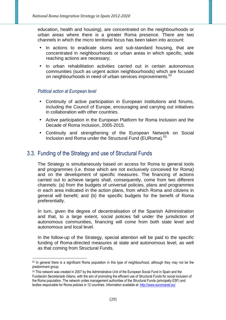education, health and housing), are concentrated on the neighbourhoods or urban areas where there is a greater Roma presence. There are two channels in which the micro territorial focus has been taken into account:

- In actions to eradicate slums and sub-standard housing, that are concentrated in neighbourhoods or urban areas in which specific, wide reaching actions are necessary;
- In urban rehabilitation activities carried out in certain autonomous communities (such as urgent action neighbourhoods) which are focused on neighbourhoods in need of urban services improvements.<sup>52</sup>

#### *Political action at European level*

- Continuity of active participation in European institutions and forums, including the Council of Europe, encouraging and carrying out initiatives in collaboration with other countries.
- Active participation in the European Platform for Roma Inclusion and the Decade of Roma Inclusion, 2005-2015.
- Continuity and strengthening of the European Network on Social Inclusion and Roma under the Structural Fund (EURoma).<sup>53</sup>

## 3.3. Funding of the Strategy and use of Structural Funds

The Strategy is simultaneously based on access for Roma to general tools and programmes (i.e. those which are not exclusively conceived for Roma) and on the development of specific measures. The financing of actions carried out to achieve targets shall, consequently, come from two different channels: (a) from the budgets of universal policies, plans and programmes in each area indicated in the action plans, from which Roma and citizens in general will benefit; and (b) the specific budgets for the benefit of Roma preferentially.

In turn, given the degree of decentralisation of the Spanish Administration and that, to a large extent, social policies fall under the jurisdiction of autonomous communities, financing will come from both state level and autonomous and local level.

In the follow-up of the Strategy, special attention will be paid to the specific funding of Roma-directed measures at state and autonomous level, as well as that coming from Structural Funds.

<sup>52</sup> In general there is a significant Roma population in this type of neighbourhood, although they may not be the predominant group.

<sup>53</sup> This network was created in 2007 by the Administrative Unit of the European Social Fund in Spain and the Fundación Secretariado Gitano, with the aim of promoting the efficient use of Structural Funds for social inclusion of the Roma population. The network unites management authorities of the Structural Funds (principally ESF) and bodies responsible for Roma policies in 12 countries. Information available at: http://www.euromanet.eu/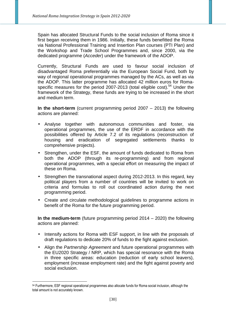Spain has allocated Structural Funds to the social inclusion of Roma since it first began receiving them in 1986. Initially, these funds benefitted the Roma via National Professional Training and Insertion Plan courses (PTI Plan) and the Workshop and Trade School Programmes and, since 2000, via the dedicated programme (Acceder) under the framework of the ADOP.

Currently, Structural Funds are used to favour social inclusion of disadvantaged Roma preferentially via the European Social Fund, both by way of regional operational programmes managed by the ACs, as well as via the ADOP. This latter programme has allocated 42 million euros for Romaspecific measures for the period 2007-2013 (total eligible cost).<sup>54</sup> Under the framework of the Strategy, these funds are trying to be increased in the short and medium term.

**In the short-term** (current programming period 2007 – 2013) the following actions are planned:

- Analyse together with autonomous communities and foster, via operational programmes, the use of the ERDF in accordance with the possibilities offered by Article 7.2 of its regulations (reconstruction of housing and eradication of segregated settlements thanks to comprehensive projects).
- Strengthen, under the ESF, the amount of funds dedicated to Roma from both the ADOP (through its re-programming) and from regional operational programmes, with a special effort on measuring the impact of these on Roma.
- Strengthen the transnational aspect during 2012-2013. In this regard, key political players from a number of countries will be invited to work on criteria and formulas to roll out coordinated action during the next programming period.
- Create and circulate methodological guidelines to programme actions in benefit of the Roma for the future programming period.

**In the medium-term** (future programming period 2014 – 2020) the following actions are planned:

- Intensify actions for Roma with ESF support, in line with the proposals of draft regulations to dedicate 20% of funds to the fight against exclusion.
- Align the Partnership Agreement and future operational programmes with the EU2020 Strategy / NRP, which has special resonance with the Roma in three specific areas: education (reduction of early school leavers), employment (increase employment rate) and the fight against poverty and social exclusion.

 $\overline{a}$ <sup>54</sup> Furthermore, ESF regional operational programmes also allocate funds for Roma social inclusion, although the total amount is not accurately known.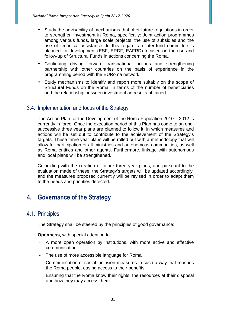- Study the advisability of mechanisms that offer future regulations in order to strengthen investment in Roma, specifically: Joint action programmes among various funds, large scale projects, the use of subsidies and the use of technical assistance. In this regard, an inter-fund committee is planned for development (ESF, ERDF, EAFRD) focused on the use and follow-up of Structural Funds in actions concerning the Roma.
- Continuing driving forward transnational actions and strengthening partnership with other countries on the basis of experience in the programming period with the EURoma network.
- Study mechanisms to identify and report more suitably on the scope of Structural Funds on the Roma, in terms of the number of beneficiaries and the relationship between investment ad results obtained.

# 3.4. Implementation and focus of the Strategy

The Action Plan for the Development of the Roma Population 2010 – 2012 is currently in force. Once the execution period of this Plan has come to an end, successive three year plans are planned to follow it, in which measures and actions will be set out to contribute to the achievement of the Strategy's targets. These three year plans will be rolled out with a methodology that will allow for participation of all ministries and autonomous communities, as well as Roma entities and other agents. Furthermore, linkage with autonomous and local plans will be strengthened.

Coinciding with the creation of future three year plans, and pursuant to the evaluation made of these, the Strategy's targets will be updated accordingly, and the measures proposed currently will be revised in order to adapt them to the needs and priorities detected.

# **4. Governance of the Strategy**

## 4.1. Principles

The Strategy shall be steered by the principles of good governance:

**Openness,** with special attention to:

- A more open operation by institutions, with more active and effective communication.
- The use of more accessible language for Roma.
- Communication of social inclusion measures in such a way that reaches the Roma people, easing access to their benefits.
- Ensuring that the Roma know their rights, the resources at their disposal and how they may access them.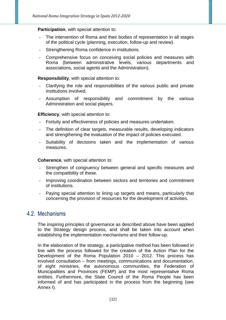#### **Participation**, with special attention to:

- The intervention of Roma and their bodies of representation in all stages of the political cycle (planning, execution, follow-up and review).
- Strengthening Roma confidence in institutions.
- Comprehensive focus on conceiving social policies and measures with Roma (between administrative levels, various departments and associations, social agents and the Administration).

#### **Responsibility**, with special attention to:

- Clarifying the role and responsibilities of the various public and private institutions involved.
- Assumption of responsibility and commitment by the various Administration and social players.

#### **Efficiency**, with special attention to:

- Fortuity and effectiveness of policies and measures undertaken.
- The definition of clear targets, measurable results, developing indicators and strengthening the evaluation of the impact of policies executed.
- Suitability of decisions taken and the implementation of various measures.

#### **Coherence**, with special attention to:

- Strengthen of congruency between general and specific measures and the compatibility of these.
- Improving coordination between sectors and territories and commitment of institutions.
- Paying special attention to lining up targets and means, particularly that concerning the provision of resources for the development of activities.

## 4.2. Mechanisms

The inspiring principles of governance as described above have been applied to the Strategy design process, and shall be taken into account when establishing the implementation mechanisms and their follow-up.

In the elaboration of the strategy, a participative method has been followed in line with the process followed for the creation of the Action Plan for the Development of the Roma Population 2010 – 2012. This process has involved consultation – from meetings, communications and documentation, of eight ministries, the autonomous communities, the Federation of Municipalities and Provinces (FEMP) and the most representative Roma entities. Furthermore, the State Council of the Roma People has been informed of and has participated in the process from the beginning (see Annex I).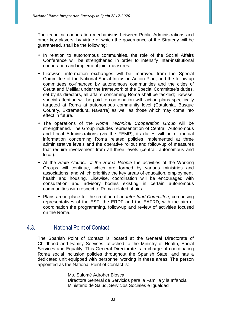The technical cooperation mechanisms between Public Administrations and other key players, by virtue of which the governance of the Strategy will be guaranteed, shall be the following:

- In relation to autonomous communities, the role of the Social Affairs Conference will be strengthened in order to intensify inter-institutional cooperation and implement joint measures.
- Likewise, information exchanges will be improved from the Special Committee of the National Social Inclusion Action Plan, and the follow-up committees co-financed by autonomous communities and the cities of Ceuta and Melilla; under the framework of the Special Committee's duties, set by its directors, all affairs concerning Roma shall be tackled; likewise, special attention will be paid to coordination with action plans specifically targeted at Roma at autonomous community level (Catalonia, Basque Country, Extremadura, Navarre) as well as those which may come into effect in future.
- The operations of the Roma Technical Cooperation Group will be strengthened. The Group includes representation of Central, Autonomous and Local Administrations (via the FEMP); its duties will be of mutual information concerning Roma related policies implemented at three administrative levels and the operative rollout and follow-up of measures that require involvement from all three levels (central, autonomous and local).
- At the State Council of the Roma People the activities of the Working Groups will continue, which are formed by various ministries and associations, and which prioritise the key areas of education, employment, health and housing. Likewise, coordination will be encouraged with consultation and advisory bodies existing in certain autonomous communities with respect to Roma-related affairs.
- Plans are in place for the creation of an Inter-fund Committee, comprising representatives of the ESF, the ERDF and the EAFRD, with the aim of coordination the programming, follow-up and review of activities focused on the Roma.

## 4.3. National Point of Contact

The Spanish Point of Contact is located at the General Directorate of Childhood and Family Services, attached to the Ministry of Health, Social Services and Equality. This General Directorate is in charge of coordinating Roma social inclusion policies throughout the Spanish State, and has a dedicated unit equipped with personnel working in these areas. The person appointed as the National Point of Contact is:

> Ms. Salomé Adroher Biosca Directora General de Servicios para la Familia y la Infancia Ministerio de Salud, Servicios Sociales e Igualdad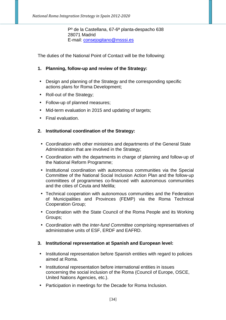Pº de la Castellana, 67-6ª planta-despacho 638 28071 Madrid E-mail: consejogitano@msssi.es

The duties of the National Point of Contact will be the following:

#### **1. Planning, follow-up and review of the Strategy:**

- Design and planning of the Strategy and the corresponding specific actions plans for Roma Development;
- Roll-out of the Strategy;
- Follow-up of planned measures;
- Mid-term evaluation in 2015 and updating of targets;
- Final evaluation.

#### **2. Institutional coordination of the Strategy:**

- Coordination with other ministries and departments of the General State Administration that are involved in the Strategy;
- Coordination with the departments in charge of planning and follow-up of the National Reform Programme;
- Institutional coordination with autonomous communities via the Special Committee of the National Social Inclusion Action Plan and the follow-up committees of programmes co-financed with autonomous communities and the cities of Ceuta and Melilla;
- Technical cooperation with autonomous communities and the Federation of Municipalities and Provinces (FEMP) via the Roma Technical Cooperation Group;
- Coordination with the State Council of the Roma People and its Working Groups;
- Coordination with the Inter-fund Committee comprising representatives of administrative units of ESF, ERDF and EAFRD.

#### **3. Institutional representation at Spanish and European level:**

- Institutional representation before Spanish entities with regard to policies aimed at Roma.
- Institutional representation before international entities in issues concerning the social inclusion of the Roma (Council of Europe, OSCE, United Nations Agencies, etc.).
- Participation in meetings for the Decade for Roma Inclusion.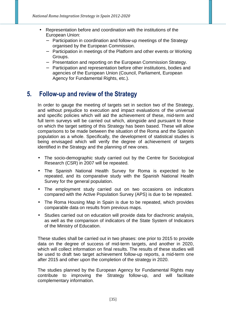- Representation before and coordination with the institutions of the European Union:
	- − Participation in coordination and follow-up meetings of the Strategy organised by the European Commission.
	- − Participation in meetings of the Platform and other events or Working Groups.
	- − Presentation and reporting on the European Commission Strategy.
	- − Participation and representation before other institutions, bodies and agencies of the European Union (Council, Parliament, European Agency for Fundamental Rights, etc.).

# **5. Follow-up and review of the Strategy**

In order to gauge the meeting of targets set in section two of the Strategy, and without prejudice to execution and impact evaluations of the universal and specific policies which will aid the achievement of these, mid-term and full term surveys will be carried out which, alongside and pursuant to those on which the target setting of this Strategy has been based. These will allow comparisons to be made between the situation of the Roma and the Spanish population as a whole. Specifically, the development of statistical studies is being envisaged which will verify the degree of achievement of targets identified in the Strategy and the planning of new ones.

- The socio-demographic study carried out by the Centre for Sociological Research (CSR) in 2007 will be repeated.
- The Spanish National Health Survey for Roma is expected to be repeated, and its comparative study with the Spanish National Health Survey for the general population.
- The employment study carried out on two occasions on indicators compared with the Active Population Survey (APS) is due to be repeated.
- The Roma Housing Map in Spain is due to be repeated, which provides comparable data on results from previous maps.
- Studies carried out on education will provide data for diachronic analysis, as well as the comparison of indicators of the State System of Indicators of the Ministry of Education.

These studies shall be carried out in two phases: one prior to 2015 to provide data on the degree of success of mid-term targets, and another in 2020, which will collect information on final results. The results of these studies will be used to draft two target achievement follow-up reports, a mid-term one after 2015 and other upon the completion of the strategy in 2020.

The studies planned by the European Agency for Fundamental Rights may contribute to improving the Strategy follow-up, and will facilitate complementary information.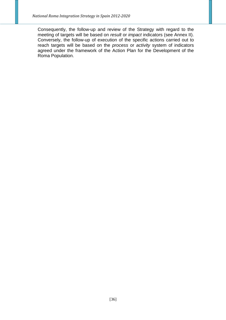Consequently, the follow-up and review of the Strategy with regard to the meeting of targets will be based on *result* or *impact* indicators (see Annex II). Conversely, the follow-up of execution of the specific actions carried out to reach targets will be based on the process or activity system of indicators agreed under the framework of the Action Plan for the Development of the Roma Population.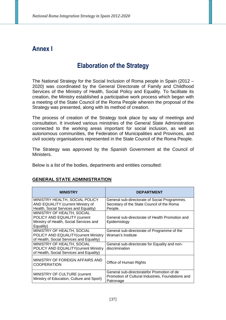# **Annex I**

# **Elaboration of the Strategy**

The National Strategy for the Social Inclusion of Roma people in Spain (2012 – 2020) was coordinated by the General Directorate of Family and Childhood Services of the Ministry of Health, Social Policy and Equality. To facilitate its creation, the Ministry established a participative work process which began with a meeting of the State Council of the Roma People wherein the proposal of the Strategy was presented, along with its method of creation.

The process of creation of the Strategy took place by way of meetings and consultation. It involved various ministries of the General State Administration connected to the working areas important for social inclusion, as well as autonomous communities, the Federation of Municipalities and Provinces, and civil society organisations represented in the State Council of the Roma People.

The Strategy was approved by the Spanish Government at the Council of Ministers.

Below is a list of the bodies, departments and entities consulted:

#### **GENERAL STATE ADMINISTRATION**

| <b>MINISTRY</b>                                                                                                    | <b>DEPARTMENT</b>                                                                                            |
|--------------------------------------------------------------------------------------------------------------------|--------------------------------------------------------------------------------------------------------------|
| MINISTRY HEALTH, SOCIAL POLICY<br>AND EQUALITY (current Ministry of<br>Health, Social Services and Equality)       | General sub-directorate of Social Programmes.<br>Secretary of the State Council of the Roma<br>People.       |
| MINISTRY OF HEALTH, SOCIAL<br>POLICY AND EQUALITY (current<br>Ministry of Health, Social Services and<br>Equality) | General sub-directorate of Health Promotion and<br>Epidemiology                                              |
| MINISTRY OF HEALTH, SOCIAL<br>POLICY AND EQUALITY (current Ministry<br>of Health, Social Services and Equality)    | General sub-directorate of Programme of the<br>Woman's Institute                                             |
| MINISTRY OF HEALTH, SOCIAL<br>POLICY AND EQUALITY (current Ministry<br>of Health, Social Services and Equality)    | General sub-directorate for Equality and non-<br>discrimination                                              |
| MINISTRY OF FOREIGN AFFAIRS AND<br><b>COOPERATION</b>                                                              | Office of Human Rights                                                                                       |
| MINISTRY OF CULTURE (current<br>Ministry of Education, Culture and Sport)                                          | General sub-directoratefor Promotion of de<br>Promotion of Cultural Industries, Foundations and<br>Patronage |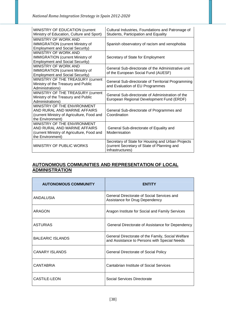| MINISTRY OF EDUCATION (current<br>Ministry of Education, Culture and Sport)                                                   | Cultural Industries, Foundations and Patronage of<br>Students, Participation and Equality                            |
|-------------------------------------------------------------------------------------------------------------------------------|----------------------------------------------------------------------------------------------------------------------|
| MINISTRY OF WORK AND<br><b>IMMIGRATION (current Ministry of</b><br><b>Employment and Social Security)</b>                     | Spanish observatory of racism and xenophobia                                                                         |
| MINISTRY OF WORK AND<br><b>IMMIGRATION (current Ministry of</b><br><b>Employment and Social Security)</b>                     | Secretary of State for Employment                                                                                    |
| MINISTRY OF WORK AND<br><b>IMMIGRATION (current Ministry of</b><br><b>Employment and Social Security)</b>                     | General Sub-directorate of the Administrative unit<br>of the European Social Fund (AUESF)                            |
| MINISTRY OF THE TREASURY (current<br>Ministry of the Treasury and Public<br>Administrations)                                  | General Sub-directorate of Territorial Programming<br>and Evaluation of EU Programmes                                |
| MINISTRY OF THE TREASURY (current<br>Ministry of the Treasury and Public<br>Administrations)                                  | General Sub-directorate of Administration of the<br>European Regional Development Fund (ERDF)                        |
| MINISTRY OF THE ENVIRONMENT<br>AND RURAL AND MARINE AFFAIRS<br>(current Ministry of Agriculture, Food and<br>the Environment) | General Sub-directorate of Programmes and<br>Coordination                                                            |
| MINISTRY OF THE ENVIRONMENT<br>AND RURAL AND MARINE AFFAIRS<br>(current Ministry of Agriculture, Food and<br>the Environment) | General Sub-directorate of Equality and<br>Modernisation                                                             |
| MINISTRY OF PUBLIC WORKS                                                                                                      | Secretary of State for Housing and Urban Projects<br>(current Secretary of State of Planning and<br>Infrastructures) |

#### **AUTONOMOUS COMMUNITIES AND REPRESENTATION OF LOCAL ADMINISTRATION**

| <b>AUTONOMOUS COMMUNITY</b> | <b>FNTITY</b>                                                                                     |
|-----------------------------|---------------------------------------------------------------------------------------------------|
| ANDALUSIA                   | General Directorate of Social Services and<br>Assistance for Drug Dependency                      |
| <b>ARAGON</b>               | Aragon Institute for Social and Family Services                                                   |
| <b>ASTURIAS</b>             | General Directorate of Assistance for Dependency                                                  |
| <b>BALEARIC ISLANDS</b>     | General Directorate of the Family, Social Welfare<br>and Assistance to Persons with Special Needs |
| <b>CANARY ISLANDS</b>       | <b>General Directorate of Social Policy</b>                                                       |
| <b>CANTABRIA</b>            | Cantabrian Institute of Social Services                                                           |
| CASTILE-LEON                | Social Services Directorate                                                                       |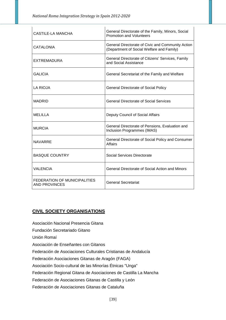| <b>CASTILE-LA MANCHA</b>                             | General Directorate of the Family, Minors, Social<br><b>Promotion and Volunteers</b>           |
|------------------------------------------------------|------------------------------------------------------------------------------------------------|
| CATALONIA                                            | General Directorate of Civic and Community Action<br>(Department of Social Welfare and Family) |
| <b>EXTREMADURA</b>                                   | General Directorate of Citizens' Services, Family<br>and Social Assistance                     |
| <b>GALICIA</b>                                       | General Secretariat of the Family and Welfare                                                  |
| LA RIOJA                                             | <b>General Directorate of Social Policy</b>                                                    |
| <b>MADRID</b>                                        | <b>General Directorate of Social Services</b>                                                  |
| <b>MELILLA</b>                                       | Deputy Council of Social Affairs                                                               |
| <b>MURCIA</b>                                        | General Directorate of Pensions, Evaluation and<br>Inclusion Programmes (IMAS)                 |
| <b>NAVARRE</b>                                       | General Directorate of Social Policy and Consumer<br><b>Affairs</b>                            |
| <b>BASQUE COUNTRY</b>                                | Social Services Directorate                                                                    |
| <b>VALENCIA</b>                                      | General Directorate of Social Action and Minors                                                |
| FEDERATION OF MUNICIPALITIES<br><b>AND PROVINCES</b> | <b>General Secretariat</b>                                                                     |

#### **CIVIL SOCIETY ORGANISATIONS**

Asociación Nacional Presencia Gitana

Fundación Secretariado Gitano

Unión Romaí

Asociación de Enseñantes con Gitanos

Federación de Asociaciones Culturales Cristianas de Andalucía

Federación Asociaciones Gitanas de Aragón (FAGA)

Asociación Socio-cultural de las Minorías Étnicas "Unga"

Federación Regional Gitana de Asociaciones de Castilla La Mancha

Federación de Asociaciones Gitanas de Castilla y León

Federación de Asociaciones Gitanas de Cataluña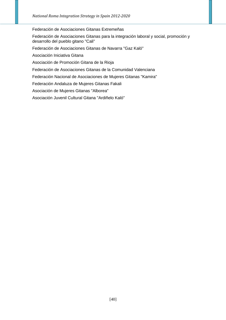Federación de Asociaciones Gitanas Extremeñas

Federación de Asociaciones Gitanas para la integración laboral y social, promoción y desarrollo del pueblo gitano "Cali"

Federación de Asociaciones Gitanas de Navarra "Gaz Kaló"

Asociación Iniciativa Gitana

Asociación de Promoción Gitana de la Rioja

Federación de Asociaciones Gitanas de la Comunidad Valenciana

Federación Nacional de Asociaciones de Mujeres Gitanas "Kamira"

Federación Andaluza de Mujeres Gitanas Fakali

Asociación de Mujeres Gitanas "Alborea"

Asociación Juvenil Cultural Gitana "Ardiñelo Kaló"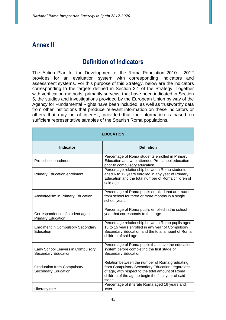# **Annex II**

# **Definition of Indicators**

The Action Plan for the Development of the Roma Population 2010 – 2012 provides for an evaluation system with corresponding indicators and assessment systems. For this purpose of this Strategy, below are the indicators corresponding to the targets defined in Section 2.1 of the Strategy. Together with verification methods, primarily surveys, that have been indicated in Section 5, the studies and investigations provided by the European Union by way of the Agency for Fundamental Rights have been included, as well as trustworthy data from other institutions that produce relevant information on these indicators or others that may be of interest, provided that the information is based on sufficient representative samples of the Spanish Roma populations.

| <b>EDUCATION</b>                                                |                                                                                                                                                                                                                        |  |
|-----------------------------------------------------------------|------------------------------------------------------------------------------------------------------------------------------------------------------------------------------------------------------------------------|--|
| <b>Indicator</b>                                                | <b>Definition</b>                                                                                                                                                                                                      |  |
| Pre-school enrolment                                            | Percentage of Roma students enrolled in Primary<br>Education and who attended Pre-school education<br>prior to compulsory education.                                                                                   |  |
| <b>Primary Education enrolment</b>                              | Percentage relationship between Roma students<br>aged 6 to 12 years enrolled in any year of Primary<br>Education and the total number of Roma children of<br>said age.                                                 |  |
| Absenteeism in Primary Education                                | Percentage of Roma pupils enrolled that are truant<br>from school for three or more months in a single<br>school year.                                                                                                 |  |
| Correspondence of student age in<br><b>Primary Education</b>    | Percentage of Roma pupils enrolled in the school<br>year that corresponds to their age.                                                                                                                                |  |
| <b>Enrolment in Compulsory Secondary</b><br>Education           | Percentage relationship between Roma pupils aged<br>13 to 15 years enrolled in any year of Compulsory<br>Secondary Education and the total amount of Roma<br>children of said age.                                     |  |
| Early School Leavers in Compulsory<br>Secondary Education       | Percentage of Roma pupils that leave the education<br>system before completing the first stage of<br>Secondary Education.                                                                                              |  |
| <b>Graduation from Compulsory</b><br><b>Secondary Education</b> | Relation between the number of Roma graduating<br>from Compulsory Secondary Education, regardless<br>of age, with respect to the total amount of Roma<br>children of the age to begin the final year of said<br>stage. |  |
| Illiteracy rate                                                 | Percentage of illiterate Roma aged 16 years and<br>over.                                                                                                                                                               |  |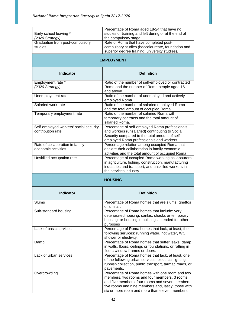| Early school leaving *<br>(2020 Strategy)                   | Percentage of Roma aged 18-24 that have no<br>studies or training and left during or at the end of<br>the compulsory stage.                                                                                                                                |  |
|-------------------------------------------------------------|------------------------------------------------------------------------------------------------------------------------------------------------------------------------------------------------------------------------------------------------------------|--|
| Graduation from post-compulsory<br>studies                  | Rate of Roma that have completed post-<br>compulsory studies (baccalaureate, foundation and<br>superior degree training, university studies).                                                                                                              |  |
| <b>EMPLOYMENT</b>                                           |                                                                                                                                                                                                                                                            |  |
| <b>Indicator</b>                                            | <b>Definition</b>                                                                                                                                                                                                                                          |  |
| Employment rate *<br>(2020 Strategy)                        | Ratio of the number of self-employed or contracted<br>Roma and the number of Roma people aged 16<br>and above.                                                                                                                                             |  |
| Unemployment rate                                           | Ratio of the number of unemployed and actively<br>employed Roma.                                                                                                                                                                                           |  |
| Salaried work rate                                          | Ratio of the number of salaried employed Roma<br>and the total amount of occupied Roma.                                                                                                                                                                    |  |
| Temporary employment rate                                   | Ratio of the number of salaried Roma with<br>temporary contracts and the total amount of<br>salaried Roma.                                                                                                                                                 |  |
| Self-employed workers' social security<br>contribution rate | Percentage of self-employed Roma professionals<br>and workers (unsalaried) contributing to Social<br>Security compared to the total amount of self-<br>employed Roma professionals and workers.                                                            |  |
| Rate of collaboration in family<br>economic activities      | Percentage relation among occupied Roma that<br>declare their collaboration in family economic<br>activities and the total amount of occupied Roma                                                                                                         |  |
| Unskilled occupation rate                                   | Percentage of occupied Roma working as labourers<br>in agriculture, fishing, construction, manufacturing<br>industries and transport, and unskilled workers in<br>the services industry.                                                                   |  |
|                                                             | <b>HOUSING</b>                                                                                                                                                                                                                                             |  |
| <b>Indicator</b>                                            | <b>Definition</b>                                                                                                                                                                                                                                          |  |
| Slums                                                       | Percentage of Roma homes that are slums, ghettos<br>or similar.                                                                                                                                                                                            |  |
| Sub-standard housing                                        | Percentage of Roma homes that include: very<br>deteriorated housing, sankis, shacks or temporary<br>housing, or housing in buildings intended for other<br>purposes                                                                                        |  |
| Lack of basic services                                      | Percentage of Roma homes that lack, at least, the<br>following services: running water, hot water, WC,<br>shower or electivity.                                                                                                                            |  |
| Damp                                                        | Percentage of Roma homes that suffer leaks, damp<br>in walls, floors, ceilings or foundations, or rotting in<br>floors window frames or doors.                                                                                                             |  |
| Lack of urban services                                      | Percentage of Roma homes that lack, at least, one<br>of the following urban services: electrical lighting,<br>rubbish collection, public transport, tarmac roads, or<br>pavements.                                                                         |  |
| Overcrowding                                                | Percentage of Roma homes with one room and two<br>members, two rooms and four members, 3 rooms<br>and five members, four rooms and seven members,<br>five rooms and nine members and, lastly, those with<br>six or more room and more than eleven members. |  |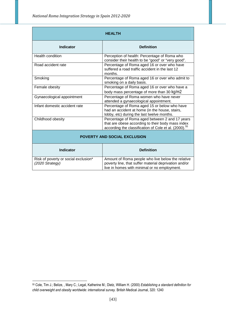| <b>HEALTH</b>                                           |                                                                                                                                                                          |  |
|---------------------------------------------------------|--------------------------------------------------------------------------------------------------------------------------------------------------------------------------|--|
| <b>Indicator</b>                                        | <b>Definition</b>                                                                                                                                                        |  |
| Health condition                                        | Perception of health: Percentage of Roma who<br>consider their health to be "good" or "very good".                                                                       |  |
| Road accident rate                                      | Percentage of Roma aged 16 or over who have<br>suffered a road traffic accident in the last 12<br>months.                                                                |  |
| Smoking                                                 | Percentage of Roma aged 16 or over who admit to<br>smoking on a daily basis.                                                                                             |  |
| Female obesity                                          | Percentage of Roma aged 16 or over who have a<br>body mass percentage of more than 30 kg/m2                                                                              |  |
| Gynaecological appointment                              | Percentage of Roma women who have never<br>attended a gynaecological appointment.                                                                                        |  |
| Infant domestic accident rate                           | Percentage of Roma aged 15 or below who have<br>had an accident at home (in the house, stairs,<br>lobby, etc) during the last twelve months.                             |  |
| Childhood obesity                                       | Percentage of Roma aged between 2 and 17 years<br>that are obese according to their body mass index<br>according the classification of Cole et al. (2000). <sup>55</sup> |  |
| <b>POVERTY AND SOCIAL EXCLUSION</b>                     |                                                                                                                                                                          |  |
| <b>Indicator</b>                                        | <b>Definition</b>                                                                                                                                                        |  |
| Risk of poverty or social exclusion*<br>(2020 Strategy) | Amount of Roma people who live below the relative<br>poverty line, that suffer material deprivation and/or<br>live in homes with minimal or no employment.               |  |

 $\overline{a}$ 

<sup>55</sup> Cole, Tim J.; Belize, , Mary C.; Legal, Katherine M.; Dietz, William H. (2000) *Establishing a standard definition for child overweight and obesity worldwide: international survey.* British Medical Journal, 320: 1240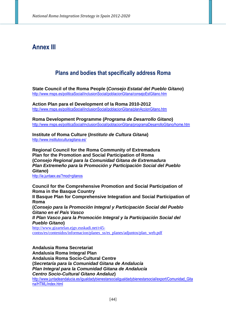# **Annex III**

# **Plans and bodies that specifically address Roma**

**State Council of the Roma People (Consejo Estatal del Pueblo Gitano)**  http://www.msps.es/politicaSocial/inclusionSocial/poblacionGitana/consejoEstGitano.htm

**Action Plan para el Development of la Roma 2010-2012**  http://www.msps.es/politicaSocial/inclusionSocial/poblacionGitana/planAccionGitano.htm

**Roma Development Programme (Programa de Desarrollo Gitano)**  http://www.msps.es/politicaSocial/inclusionSocial/poblacionGitana/programaDesarrolloGitano/home.htm

**Institute of Roma Culture (Instituto de Cultura Gitana)**  http://www.institutoculturagitana.es/

**Regional Council for the Roma Community of Extremadura Plan for the Promotion and Social Participation of Roma (Consejo Regional para la Comunidad Gitana de Extremadura Plan Extremeño para la Promoción y Participación Social del Pueblo Gitano)** 

http://ie.juntaex.es/?mod=gitanos

**Council for the Comprehensive Promotion and Social Participation of Roma in the Basque Country** 

**II Basque Plan for Comprehensive Integration and Social Participation of Roma** 

**(Consejo para la Promoción Integral y Participación Social del Pueblo Gitano en el País Vasco** 

**II Plan Vasco para la Promoción Integral y la Participación Social del Pueblo Gitano)** 

http://www.gizartelan.ejgv.euskadi.net/r45 contss/es/contenidos/informacion/planes\_ss/es\_planes/adjuntos/plan\_web.pdf

**Andalusia Roma Secretariat Andalusia Roma Integral Plan Andalusia Roma Socio-Cultural Centre (Secretaría para la Comunidad Gitana de Andalucía Plan Integral para la Comunidad Gitana de Andalucía Centro Socio-Cultural Gitano Andaluz)** 

http://www.juntadeandalucia.es/jqualdadybienestarsocialiqualdadybienestarsocial/export/Comunidad Gita na/HTML/index.html